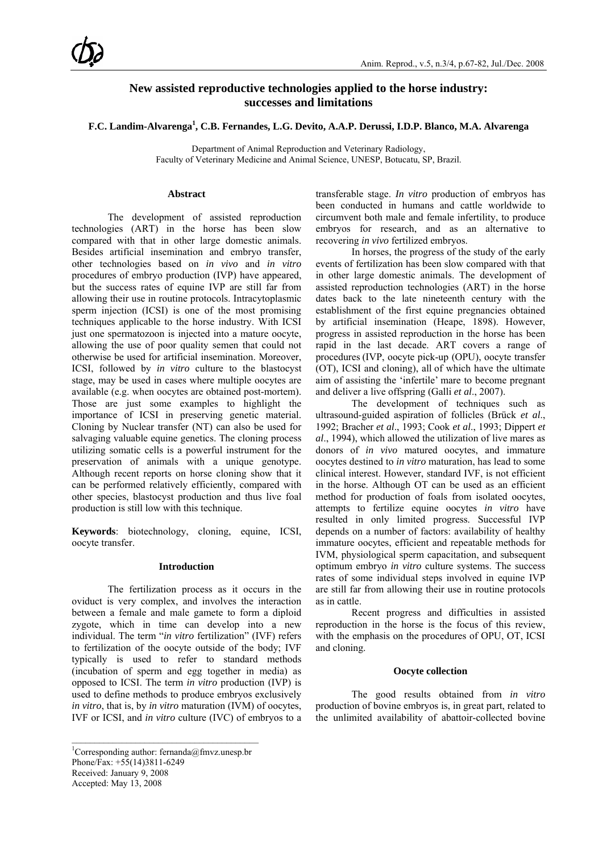# **New assisted reproductive technologies applied to the horse industry: successes and limitations**

## **F.C. Landim-Alvarenga1 , C.B. Fernandes, L.G. Devito, A.A.P. Derussi, I.D.P. Blanco, M.A. Alvarenga**

Department of Animal Reproduction and Veterinary Radiology, Faculty of Veterinary Medicine and Animal Science, UNESP, Botucatu, SP, Brazil.

#### **Abstract**

The development of assisted reproduction technologies (ART) in the horse has been slow compared with that in other large domestic animals. Besides artificial insemination and embryo transfer, other technologies based on *in vivo* and *in vitro* procedures of embryo production (IVP) have appeared, but the success rates of equine IVP are still far from allowing their use in routine protocols. Intracytoplasmic sperm injection (ICSI) is one of the most promising techniques applicable to the horse industry. With ICSI just one spermatozoon is injected into a mature oocyte, allowing the use of poor quality semen that could not otherwise be used for artificial insemination. Moreover, ICSI, followed by *in vitro* culture to the blastocyst stage, may be used in cases where multiple oocytes are available (e.g. when oocytes are obtained post-mortem). Those are just some examples to highlight the importance of ICSI in preserving genetic material. Cloning by Nuclear transfer (NT) can also be used for salvaging valuable equine genetics. The cloning process utilizing somatic cells is a powerful instrument for the preservation of animals with a unique genotype. Although recent reports on horse cloning show that it can be performed relatively efficiently, compared with other species, blastocyst production and thus live foal production is still low with this technique.

**Keywords**: biotechnology, cloning, equine, ICSI, oocyte transfer.

#### **Introduction**

The fertilization process as it occurs in the oviduct is very complex, and involves the interaction between a female and male gamete to form a diploid zygote, which in time can develop into a new individual. The term "*in vitro* fertilization" (IVF) refers to fertilization of the oocyte outside of the body; IVF typically is used to refer to standard methods (incubation of sperm and egg together in media) as opposed to ICSI. The term *in vitro* production (IVP) is used to define methods to produce embryos exclusively *in vitro*, that is, by *in vitro* maturation (IVM) of oocytes, IVF or ICSI, and *in vitro* culture (IVC) of embryos to a

 $\mathcal{L}_\text{max}$ 

transferable stage. *In vitro* production of embryos has been conducted in humans and cattle worldwide to circumvent both male and female infertility, to produce embryos for research, and as an alternative to recovering *in vivo* fertilized embryos.

In horses, the progress of the study of the early events of fertilization has been slow compared with that in other large domestic animals. The development of assisted reproduction technologies (ART) in the horse dates back to the late nineteenth century with the establishment of the first equine pregnancies obtained by artificial insemination (Heape, 1898). However, progress in assisted reproduction in the horse has been rapid in the last decade. ART covers a range of procedures (IVP, oocyte pick-up (OPU), oocyte transfer (OT), ICSI and cloning), all of which have the ultimate aim of assisting the 'infertile' mare to become pregnant and deliver a live offspring (Galli *et al*., 2007).

The development of techniques such as ultrasound-guided aspiration of follicles (Brück *et al*., 1992; Bracher *et al*., 1993; Cook *et al*., 1993; Dippert *et al*., 1994), which allowed the utilization of live mares as donors of *in vivo* matured oocytes, and immature oocytes destined to *in vitro* maturation, has lead to some clinical interest. However, standard IVF, is not efficient in the horse. Although OT can be used as an efficient method for production of foals from isolated oocytes, attempts to fertilize equine oocytes *in vitro* have resulted in only limited progress. Successful IVP depends on a number of factors: availability of healthy immature oocytes, efficient and repeatable methods for IVM, physiological sperm capacitation, and subsequent optimum embryo *in vitro* culture systems. The success rates of some individual steps involved in equine IVP are still far from allowing their use in routine protocols as in cattle.

Recent progress and difficulties in assisted reproduction in the horse is the focus of this review, with the emphasis on the procedures of OPU, OT, ICSI and cloning.

### **Oocyte collection**

The good results obtained from *in vitro* production of bovine embryos is, in great part, related to the unlimited availability of abattoir-collected bovine

<sup>&</sup>lt;sup>1</sup>Corresponding author: fernanda@fmvz.unesp.br Phone/Fax: +55(14)3811-6249 Received: January 9, 2008 Accepted: May 13, 2008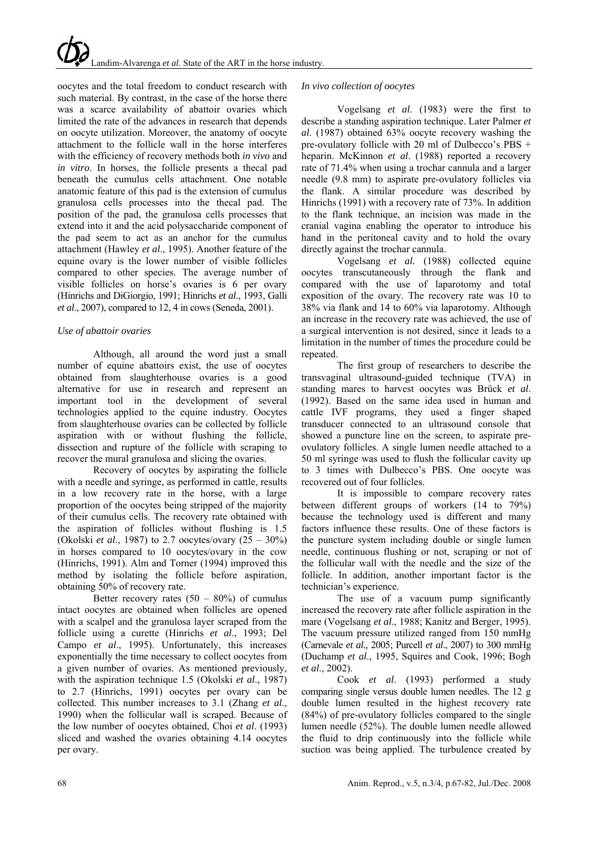oocytes and the total freedom to conduct research with such material. By contrast, in the case of the horse there was a scarce availability of abattoir ovaries which limited the rate of the advances in research that depends on oocyte utilization. Moreover, the anatomy of oocyte attachment to the follicle wall in the horse interferes with the efficiency of recovery methods both *in vivo* and *in vitro*. In horses, the follicle presents a thecal pad beneath the cumulus cells attachment. One notable anatomic feature of this pad is the extension of cumulus granulosa cells processes into the thecal pad. The position of the pad, the granulosa cells processes that extend into it and the acid polysaccharide component of the pad seem to act as an anchor for the cumulus attachment (Hawley *et al*., 1995). Another feature of the equine ovary is the lower number of visible follicles compared to other species. The average number of visible follicles on horse's ovaries is 6 per ovary (Hinrichs and DiGiorgio, 1991; Hinrichs *et al*., 1993, Galli *et al*., 2007), compared to 12, 4 in cows (Seneda, 2001).

## *Use of abattoir ovaries*

Although, all around the word just a small number of equine abattoirs exist, the use of oocytes obtained from slaughterhouse ovaries is a good alternative for use in research and represent an important tool in the development of several technologies applied to the equine industry. Oocytes from slaughterhouse ovaries can be collected by follicle aspiration with or without flushing the follicle, dissection and rupture of the follicle with scraping to recover the mural granulosa and slicing the ovaries.

Recovery of oocytes by aspirating the follicle with a needle and syringe, as performed in cattle, results in a low recovery rate in the horse, with a large proportion of the oocytes being stripped of the majority of their cumulus cells. The recovery rate obtained with the aspiration of follicles without flushing is 1.5 (Okolski *et al*., 1987) to 2.7 oocytes/ovary (25 – 30%) in horses compared to 10 oocytes/ovary in the cow (Hinrichs, 1991). Alm and Torner (1994) improved this method by isolating the follicle before aspiration, obtaining 50% of recovery rate.

Better recovery rates  $(50 - 80\%)$  of cumulus intact oocytes are obtained when follicles are opened with a scalpel and the granulosa layer scraped from the follicle using a curette (Hinrichs *et al*., 1993; Del Campo *et al*., 1995). Unfortunately, this increases exponentially the time necessary to collect oocytes from a given number of ovaries. As mentioned previously, with the aspiration technique 1.5 (Okolski *et al*., 1987) to 2.7 (Hinrichs, 1991) oocytes per ovary can be collected. This number increases to 3.1 (Zhang *et al*., 1990) when the follicular wall is scraped. Because of the low number of oocytes obtained, Choi *et al*. (1993) sliced and washed the ovaries obtaining 4.14 oocytes per ovary.

## *In vivo collection of oocytes*

Vogelsang *et al*. (1983) were the first to describe a standing aspiration technique. Later Palmer *et al*. (1987) obtained 63% oocyte recovery washing the pre-ovulatory follicle with 20 ml of Dulbecco's PBS + heparin. McKinnon *et al*. (1988) reported a recovery rate of 71.4% when using a trochar cannula and a larger needle (9.8 mm) to aspirate pre-ovulatory follicles via the flank. A similar procedure was described by Hinrichs (1991) with a recovery rate of 73%. In addition to the flank technique, an incision was made in the cranial vagina enabling the operator to introduce his hand in the peritoneal cavity and to hold the ovary directly against the trochar cannula.

Vogelsang *et al.* (1988) collected equine oocytes transcutaneously through the flank and compared with the use of laparotomy and total exposition of the ovary. The recovery rate was 10 to 38% via flank and 14 to 60% via laparotomy. Although an increase in the recovery rate was achieved, the use of a surgical intervention is not desired, since it leads to a limitation in the number of times the procedure could be repeated.

The first group of researchers to describe the transvaginal ultrasound-guided technique (TVA) in standing mares to harvest oocytes was Brück *et al*. (1992). Based on the same idea used in human and cattle IVF programs, they used a finger shaped transducer connected to an ultrasound console that showed a puncture line on the screen, to aspirate preovulatory follicles. A single lumen needle attached to a 50 ml syringe was used to flush the follicular cavity up to 3 times with Dulbecco's PBS. One oocyte was recovered out of four follicles.

It is impossible to compare recovery rates between different groups of workers (14 to 79%) because the technology used is different and many factors influence these results. One of these factors is the puncture system including double or single lumen needle, continuous flushing or not, scraping or not of the follicular wall with the needle and the size of the follicle. In addition, another important factor is the technician's experience.

The use of a vacuum pump significantly increased the recovery rate after follicle aspiration in the mare (Vogelsang *et al*., 1988; Kanitz and Berger, 1995). The vacuum pressure utilized ranged from 150 mmHg (Carnevale *et al.,* 2005; Purcell *et al*., 2007) to 300 mmHg (Duchamp *et al*., 1995, Squires and Cook, 1996; Bogh *et al*., 2002).

Cook *et al*. (1993) performed a study comparing single versus double lumen needles. The 12 g double lumen resulted in the highest recovery rate (84%) of pre-ovulatory follicles compared to the single lumen needle (52%). The double lumen needle allowed the fluid to drip continuously into the follicle while suction was being applied. The turbulence created by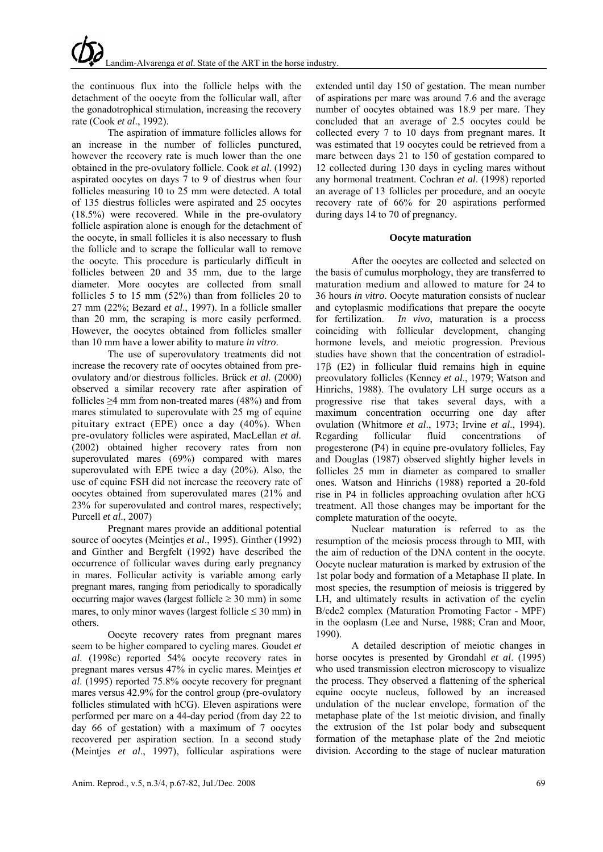the continuous flux into the follicle helps with the detachment of the oocyte from the follicular wall, after the gonadotrophical stimulation, increasing the recovery rate (Cook *et al*., 1992).

The aspiration of immature follicles allows for an increase in the number of follicles punctured, however the recovery rate is much lower than the one obtained in the pre-ovulatory follicle. Cook *et al*. (1992) aspirated oocytes on days 7 to 9 of diestrus when four follicles measuring 10 to 25 mm were detected. A total of 135 diestrus follicles were aspirated and 25 oocytes (18.5%) were recovered. While in the pre-ovulatory follicle aspiration alone is enough for the detachment of the oocyte, in small follicles it is also necessary to flush the follicle and to scrape the follicular wall to remove the oocyte. This procedure is particularly difficult in follicles between 20 and 35 mm, due to the large diameter. More oocytes are collected from small follicles 5 to 15 mm (52%) than from follicles 20 to 27 mm (22%; Bezard *et al*., 1997). In a follicle smaller than 20 mm, the scraping is more easily performed. However, the oocytes obtained from follicles smaller than 10 mm have a lower ability to mature *in vitro*.

The use of superovulatory treatments did not increase the recovery rate of oocytes obtained from preovulatory and/or diestrous follicles. Brück *et al.* (2000) observed a similar recovery rate after aspiration of follicles ≥4 mm from non-treated mares (48%) and from mares stimulated to superovulate with 25 mg of equine pituitary extract (EPE) once a day (40%). When pre-ovulatory follicles were aspirated, MacLellan *et al.* (2002) obtained higher recovery rates from non superovulated mares (69%) compared with mares superovulated with EPE twice a day (20%). Also, the use of equine FSH did not increase the recovery rate of oocytes obtained from superovulated mares (21% and 23% for superovulated and control mares, respectively; Purcell *et al*., 2007)

Pregnant mares provide an additional potential source of oocytes (Meintjes *et al*., 1995). Ginther (1992) and Ginther and Bergfelt (1992) have described the occurrence of follicular waves during early pregnancy in mares. Follicular activity is variable among early pregnant mares, ranging from periodically to sporadically occurring major waves (largest follicle  $\geq$  30 mm) in some mares, to only minor waves (largest follicle  $\leq 30$  mm) in others.

Oocyte recovery rates from pregnant mares seem to be higher compared to cycling mares. Goudet *et al*. (1998c) reported 54% oocyte recovery rates in pregnant mares versus 47% in cyclic mares. Meintjes *et al*. (1995) reported 75.8% oocyte recovery for pregnant mares versus 42.9% for the control group (pre-ovulatory follicles stimulated with hCG). Eleven aspirations were performed per mare on a 44-day period (from day 22 to day 66 of gestation) with a maximum of 7 oocytes recovered per aspiration section. In a second study (Meintjes *et al*., 1997), follicular aspirations were

extended until day 150 of gestation. The mean number of aspirations per mare was around 7.6 and the average number of oocytes obtained was 18.9 per mare. They concluded that an average of 2.5 oocytes could be collected every 7 to 10 days from pregnant mares. It was estimated that 19 oocytes could be retrieved from a mare between days 21 to 150 of gestation compared to 12 collected during 130 days in cycling mares without any hormonal treatment. Cochran *et al*. (1998) reported an average of 13 follicles per procedure, and an oocyte recovery rate of 66% for 20 aspirations performed during days 14 to 70 of pregnancy.

#### **Oocyte maturation**

After the oocytes are collected and selected on the basis of cumulus morphology, they are transferred to maturation medium and allowed to mature for 24 to 36 hours *in vitro*. Oocyte maturation consists of nuclear and cytoplasmic modifications that prepare the oocyte for fertilization. *In vivo*, maturation is a process *In vivo*, maturation is a process coinciding with follicular development, changing hormone levels, and meiotic progression. Previous studies have shown that the concentration of estradiol-17β (E2) in follicular fluid remains high in equine preovulatory follicles (Kenney *et al*., 1979; Watson and Hinrichs, 1988). The ovulatory LH surge occurs as a progressive rise that takes several days, with a maximum concentration occurring one day after ovulation (Whitmore *et al*., 1973; Irvine *et al*., 1994). Regarding follicular fluid concentrations of progesterone (P4) in equine pre-ovulatory follicles, Fay and Douglas (1987) observed slightly higher levels in follicles 25 mm in diameter as compared to smaller ones. Watson and Hinrichs (1988) reported a 20-fold rise in P4 in follicles approaching ovulation after hCG treatment. All those changes may be important for the complete maturation of the oocyte.

Nuclear maturation is referred to as the resumption of the meiosis process through to MII, with the aim of reduction of the DNA content in the oocyte. Oocyte nuclear maturation is marked by extrusion of the 1st polar body and formation of a Metaphase II plate. In most species, the resumption of meiosis is triggered by LH, and ultimately results in activation of the cyclin B/cdc2 complex (Maturation Promoting Factor - MPF) in the ooplasm (Lee and Nurse, 1988; Cran and Moor, 1990).

A detailed description of meiotic changes in horse oocytes is presented by Grondahl *et al*. (1995) who used transmission electron microscopy to visualize the process. They observed a flattening of the spherical equine oocyte nucleus, followed by an increased undulation of the nuclear envelope, formation of the metaphase plate of the 1st meiotic division, and finally the extrusion of the 1st polar body and subsequent formation of the metaphase plate of the 2nd meiotic division. According to the stage of nuclear maturation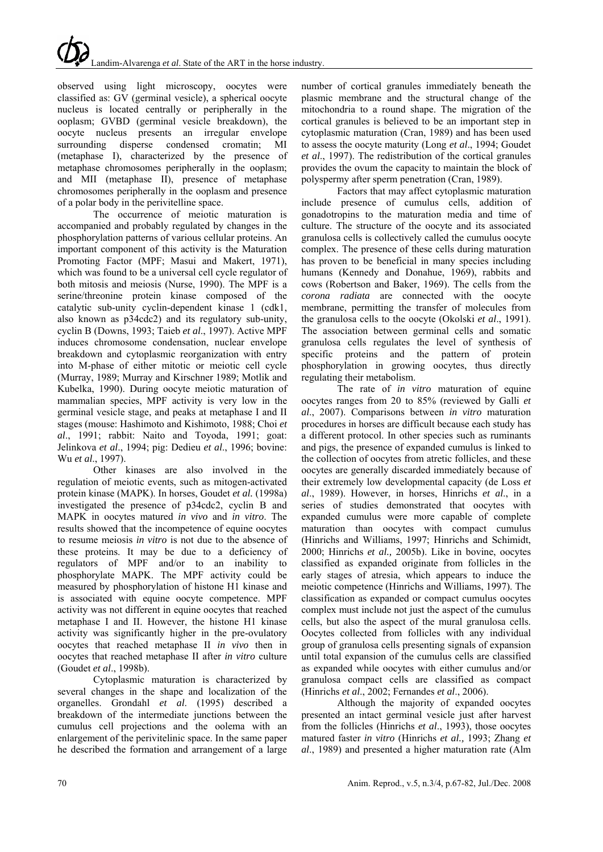observed using light microscopy, oocytes were classified as: GV (germinal vesicle), a spherical oocyte nucleus is located centrally or peripherally in the ooplasm; GVBD (germinal vesicle breakdown), the oocyte nucleus presents an irregular envelope surrounding disperse condensed cromatin; MI (metaphase I), characterized by the presence of metaphase chromosomes peripherally in the ooplasm; and MII (metaphase II), presence of metaphase chromosomes peripherally in the ooplasm and presence of a polar body in the perivitelline space.

The occurrence of meiotic maturation is accompanied and probably regulated by changes in the phosphorylation patterns of various cellular proteins. An important component of this activity is the Maturation Promoting Factor (MPF; Masui and Makert, 1971), which was found to be a universal cell cycle regulator of both mitosis and meiosis (Nurse, 1990). The MPF is a serine/threonine protein kinase composed of the catalytic sub-unity cyclin-dependent kinase 1 (cdk1, also known as p34cdc2) and its regulatory sub-unity, cyclin B (Downs, 1993; Taieb *et al*., 1997). Active MPF induces chromosome condensation, nuclear envelope breakdown and cytoplasmic reorganization with entry into M-phase of either mitotic or meiotic cell cycle (Murray, 1989; Murray and Kirschner 1989; Motlik and Kubelka, 1990). During oocyte meiotic maturation of mammalian species, MPF activity is very low in the germinal vesicle stage, and peaks at metaphase I and II stages (mouse: Hashimoto and Kishimoto, 1988; Choi *et al*., 1991; rabbit: Naito and Toyoda, 1991; goat: Jelinkova *et al*., 1994; pig: Dedieu *et al*., 1996; bovine: Wu *et al*., 1997).

Other kinases are also involved in the regulation of meiotic events, such as mitogen-activated protein kinase (MAPK). In horses, Goudet *et al.* (1998a) investigated the presence of p34cdc2, cyclin B and MAPK in oocytes matured *in vivo* and *in vitro*. The results showed that the incompetence of equine oocytes to resume meiosis *in vitro* is not due to the absence of these proteins. It may be due to a deficiency of regulators of MPF and/or to an inability to phosphorylate MAPK. The MPF activity could be measured by phosphorylation of histone H1 kinase and is associated with equine oocyte competence. MPF activity was not different in equine oocytes that reached metaphase I and II. However, the histone H1 kinase activity was significantly higher in the pre-ovulatory oocytes that reached metaphase II *in vivo* then in oocytes that reached metaphase II after *in vitro* culture (Goudet *et al*., 1998b).

Cytoplasmic maturation is characterized by several changes in the shape and localization of the organelles. Grondahl *et al*. (1995) described a breakdown of the intermediate junctions between the cumulus cell projections and the oolema with an enlargement of the perivitelinic space. In the same paper he described the formation and arrangement of a large

number of cortical granules immediately beneath the plasmic membrane and the structural change of the mitochondria to a round shape. The migration of the cortical granules is believed to be an important step in cytoplasmic maturation (Cran, 1989) and has been used to assess the oocyte maturity (Long *et al*., 1994; Goudet *et al*., 1997). The redistribution of the cortical granules provides the ovum the capacity to maintain the block of polyspermy after sperm penetration (Cran, 1989).

Factors that may affect cytoplasmic maturation include presence of cumulus cells, addition of gonadotropins to the maturation media and time of culture. The structure of the oocyte and its associated granulosa cells is collectively called the cumulus oocyte complex. The presence of these cells during maturation has proven to be beneficial in many species including humans (Kennedy and Donahue, 1969), rabbits and cows (Robertson and Baker, 1969). The cells from the *corona radiata* are connected with the oocyte membrane, permitting the transfer of molecules from the granulosa cells to the oocyte (Okolski *et al*., 1991). The association between germinal cells and somatic granulosa cells regulates the level of synthesis of specific proteins and the pattern of protein phosphorylation in growing oocytes, thus directly regulating their metabolism.

The rate of *in vitro* maturation of equine oocytes ranges from 20 to 85% (reviewed by Galli *et al*., 2007). Comparisons between *in vitro* maturation procedures in horses are difficult because each study has a different protocol. In other species such as ruminants and pigs, the presence of expanded cumulus is linked to the collection of oocytes from atretic follicles, and these oocytes are generally discarded immediately because of their extremely low developmental capacity (de Loss *et al*., 1989). However, in horses, Hinrichs *et al*., in a series of studies demonstrated that oocytes with expanded cumulus were more capable of complete maturation than oocytes with compact cumulus (Hinrichs and Williams, 1997; Hinrichs and Schimidt, 2000; Hinrichs *et al.,* 2005b). Like in bovine, oocytes classified as expanded originate from follicles in the early stages of atresia, which appears to induce the meiotic competence (Hinrichs and Williams, 1997). The classification as expanded or compact cumulus oocytes complex must include not just the aspect of the cumulus cells, but also the aspect of the mural granulosa cells. Oocytes collected from follicles with any individual group of granulosa cells presenting signals of expansion until total expansion of the cumulus cells are classified as expanded while oocytes with either cumulus and/or granulosa compact cells are classified as compact (Hinrichs *et al*., 2002; Fernandes *et al*., 2006).

Although the majority of expanded oocytes presented an intact germinal vesicle just after harvest from the follicles (Hinrichs *et al*., 1993), those oocytes matured faster *in vitro* (Hinrichs *et al.,* 1993; Zhang *et al*., 1989) and presented a higher maturation rate (Alm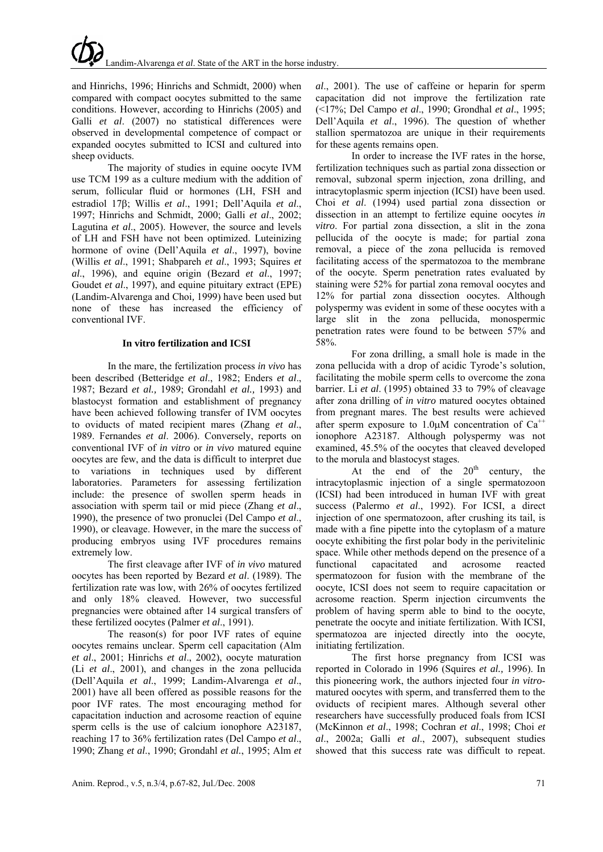and Hinrichs, 1996; Hinrichs and Schmidt, 2000) when compared with compact oocytes submitted to the same conditions. However, according to Hinrichs (2005) and Galli *et al*. (2007) no statistical differences were observed in developmental competence of compact or expanded oocytes submitted to ICSI and cultured into sheep oviducts.

The majority of studies in equine oocyte IVM use TCM 199 as a culture medium with the addition of serum, follicular fluid or hormones (LH, FSH and estradiol 17β; Willis *et al*., 1991; Dell'Aquila *et al*., 1997; Hinrichs and Schmidt, 2000; Galli *et al*., 2002; Lagutina *et al*., 2005). However, the source and levels of LH and FSH have not been optimized. Luteinizing hormone of ovine (Dell'Aquila *et al*., 1997), bovine (Willis *et al*., 1991; Shabpareh *et al*., 1993; Squires *et al*., 1996), and equine origin (Bezard *et al*., 1997; Goudet *et al*., 1997), and equine pituitary extract (EPE) (Landim-Alvarenga and Choi*,* 1999) have been used but none of these has increased the efficiency of conventional IVF.

### **In vitro fertilization and ICSI**

In the mare, the fertilization process *in vivo* has been described (Betteridge *et al*., 1982; Enders *et al*., 1987; Bezard *et al.,* 1989; Grondahl *et al.,* 1993) and blastocyst formation and establishment of pregnancy have been achieved following transfer of IVM oocytes to oviducts of mated recipient mares (Zhang *et al*., 1989. Fernandes *et al*. 2006). Conversely, reports on conventional IVF of *in vitro* or *in vivo* matured equine oocytes are few, and the data is difficult to interpret due to variations in techniques used by different laboratories. Parameters for assessing fertilization include: the presence of swollen sperm heads in association with sperm tail or mid piece (Zhang *et al*., 1990), the presence of two pronuclei (Del Campo *et al*., 1990), or cleavage. However, in the mare the success of producing embryos using IVF procedures remains extremely low.

The first cleavage after IVF of *in vivo* matured oocytes has been reported by Bezard *et al*. (1989). The fertilization rate was low, with 26% of oocytes fertilized and only 18% cleaved. However, two successful pregnancies were obtained after 14 surgical transfers of these fertilized oocytes (Palmer *et al*., 1991).

The reason(s) for poor IVF rates of equine oocytes remains unclear. Sperm cell capacitation (Alm *et al*., 2001; Hinrichs *et al*., 2002), oocyte maturation (Li *et al*., 2001), and changes in the zona pellucida (Dell'Aquila *et al*., 1999; Landim-Alvarenga *et al*., 2001) have all been offered as possible reasons for the poor IVF rates. The most encouraging method for capacitation induction and acrosome reaction of equine sperm cells is the use of calcium ionophore A23187. reaching 17 to 36% fertilization rates (Del Campo *et al*., 1990; Zhang *et al*., 1990; Grondahl *et al.*, 1995; Alm *et* 

*al*., 2001). The use of caffeine or heparin for sperm capacitation did not improve the fertilization rate (<17%; Del Campo *et al*., 1990; Grondhal *et al*., 1995; Dell'Aquila *et al*., 1996). The question of whether stallion spermatozoa are unique in their requirements for these agents remains open.

In order to increase the IVF rates in the horse, fertilization techniques such as partial zona dissection or removal, subzonal sperm injection, zona drilling, and intracytoplasmic sperm injection (ICSI) have been used. Choi *et al*. (1994) used partial zona dissection or dissection in an attempt to fertilize equine oocytes *in vitro*. For partial zona dissection, a slit in the zona pellucida of the oocyte is made; for partial zona removal, a piece of the zona pellucida is removed facilitating access of the spermatozoa to the membrane of the oocyte. Sperm penetration rates evaluated by staining were 52% for partial zona removal oocytes and 12% for partial zona dissection oocytes. Although polyspermy was evident in some of these oocytes with a large slit in the zona pellucida, monospermic penetration rates were found to be between 57% and 58%.

For zona drilling, a small hole is made in the zona pellucida with a drop of acidic Tyrode's solution, facilitating the mobile sperm cells to overcome the zona barrier. Li *et al*. (1995) obtained 33 to 79% of cleavage after zona drilling of *in vitro* matured oocytes obtained from pregnant mares. The best results were achieved after sperm exposure to 1.0 $\mu$ M concentration of Ca<sup>++</sup> ionophore A23187. Although polyspermy was not examined, 45.5% of the oocytes that cleaved developed to the morula and blastocyst stages.

At the end of the  $20<sup>th</sup>$  century, the intracytoplasmic injection of a single spermatozoon (ICSI) had been introduced in human IVF with great success (Palermo *et al*., 1992). For ICSI, a direct injection of one spermatozoon, after crushing its tail, is made with a fine pipette into the cytoplasm of a mature oocyte exhibiting the first polar body in the perivitelinic space. While other methods depend on the presence of a functional capacitated and acrosome reacted spermatozoon for fusion with the membrane of the oocyte, ICSI does not seem to require capacitation or acrosome reaction. Sperm injection circumvents the problem of having sperm able to bind to the oocyte, penetrate the oocyte and initiate fertilization. With ICSI, spermatozoa are injected directly into the oocyte, initiating fertilization.

The first horse pregnancy from ICSI was reported in Colorado in 1996 (Squires *et al.,* 1996). In this pioneering work, the authors injected four *in vitro*matured oocytes with sperm, and transferred them to the oviducts of recipient mares. Although several other researchers have successfully produced foals from ICSI (McKinnon *et al*., 1998; Cochran *et al*., 1998; Choi *et al*., 2002a; Galli *et al*., 2007), subsequent studies showed that this success rate was difficult to repeat.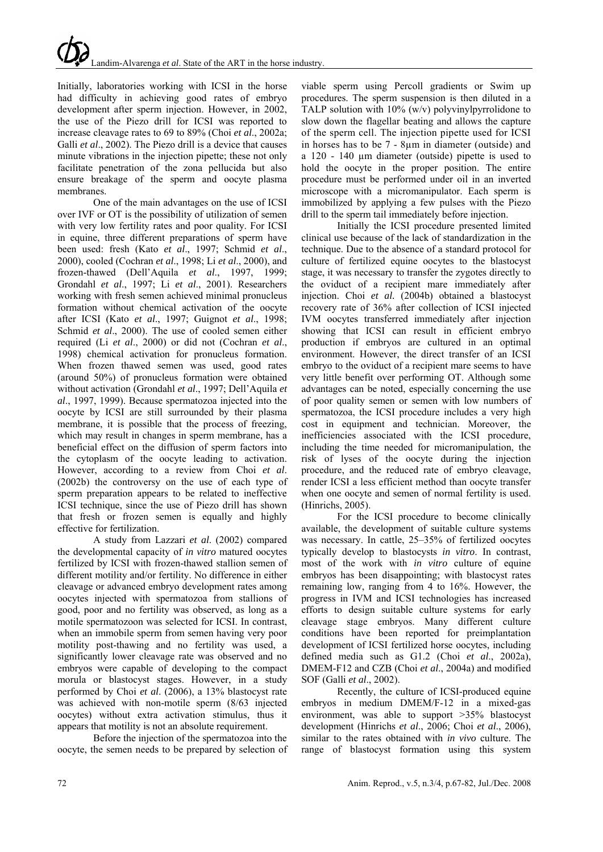Initially, laboratories working with ICSI in the horse had difficulty in achieving good rates of embryo development after sperm injection. However, in 2002, the use of the Piezo drill for ICSI was reported to increase cleavage rates to 69 to 89% (Choi *et al*., 2002a; Galli *et al*., 2002). The Piezo drill is a device that causes minute vibrations in the injection pipette; these not only facilitate penetration of the zona pellucida but also ensure breakage of the sperm and oocyte plasma membranes.

One of the main advantages on the use of ICSI over IVF or OT is the possibility of utilization of semen with very low fertility rates and poor quality. For ICSI in equine, three different preparations of sperm have been used: fresh (Kato *et al*., 1997; Schmid *et al*., 2000), cooled (Cochran *et al*., 1998; Li *et al*., 2000), and frozen-thawed (Dell'Aquila *et al*., 1997, 1999; Grondahl *et al*., 1997; Li *et al*., 2001). Researchers working with fresh semen achieved minimal pronucleus formation without chemical activation of the oocyte after ICSI (Kato *et al*., 1997; Guignot *et al*., 1998; Schmid *et al*., 2000). The use of cooled semen either required (Li *et al*., 2000) or did not (Cochran *et al*., 1998) chemical activation for pronucleus formation. When frozen thawed semen was used, good rates (around 50%) of pronucleus formation were obtained without activation (Grondahl *et al*., 1997; Dell'Aquila *et al*., 1997, 1999). Because spermatozoa injected into the oocyte by ICSI are still surrounded by their plasma membrane, it is possible that the process of freezing, which may result in changes in sperm membrane, has a beneficial effect on the diffusion of sperm factors into the cytoplasm of the oocyte leading to activation. However, according to a review from Choi *et al*. (2002b) the controversy on the use of each type of sperm preparation appears to be related to ineffective ICSI technique, since the use of Piezo drill has shown that fresh or frozen semen is equally and highly effective for fertilization.

A study from Lazzari *et al*. (2002) compared the developmental capacity of *in vitro* matured oocytes fertilized by ICSI with frozen-thawed stallion semen of different motility and/or fertility. No difference in either cleavage or advanced embryo development rates among oocytes injected with spermatozoa from stallions of good, poor and no fertility was observed, as long as a motile spermatozoon was selected for ICSI. In contrast, when an immobile sperm from semen having very poor motility post-thawing and no fertility was used, a significantly lower cleavage rate was observed and no embryos were capable of developing to the compact morula or blastocyst stages. However, in a study performed by Choi *et al*. (2006), a 13% blastocyst rate was achieved with non-motile sperm (8/63 injected oocytes) without extra activation stimulus, thus it appears that motility is not an absolute requirement.

Before the injection of the spermatozoa into the oocyte, the semen needs to be prepared by selection of

viable sperm using Percoll gradients or Swim up procedures. The sperm suspension is then diluted in a TALP solution with  $10\%$  (w/v) polyvinylpyrrolidone to slow down the flagellar beating and allows the capture of the sperm cell. The injection pipette used for ICSI in horses has to be 7 - 8µm in diameter (outside) and a 120 - 140 µm diameter (outside) pipette is used to hold the oocyte in the proper position. The entire procedure must be performed under oil in an inverted microscope with a micromanipulator. Each sperm is immobilized by applying a few pulses with the Piezo drill to the sperm tail immediately before injection.

Initially the ICSI procedure presented limited clinical use because of the lack of standardization in the technique. Due to the absence of a standard protocol for culture of fertilized equine oocytes to the blastocyst stage, it was necessary to transfer the zygotes directly to the oviduct of a recipient mare immediately after injection. Choi *et al.* (2004b) obtained a blastocyst recovery rate of 36% after collection of ICSI injected IVM oocytes transferred immediately after injection showing that ICSI can result in efficient embryo production if embryos are cultured in an optimal environment. However, the direct transfer of an ICSI embryo to the oviduct of a recipient mare seems to have very little benefit over performing OT. Although some advantages can be noted, especially concerning the use of poor quality semen or semen with low numbers of spermatozoa, the ICSI procedure includes a very high cost in equipment and technician. Moreover, the inefficiencies associated with the ICSI procedure, including the time needed for micromanipulation, the risk of lyses of the oocyte during the injection procedure, and the reduced rate of embryo cleavage, render ICSI a less efficient method than oocyte transfer when one oocyte and semen of normal fertility is used. (Hinrichs, 2005).

For the ICSI procedure to become clinically available, the development of suitable culture systems was necessary. In cattle, 25–35% of fertilized oocytes typically develop to blastocysts *in vitro*. In contrast, most of the work with *in vitro* culture of equine embryos has been disappointing; with blastocyst rates remaining low, ranging from 4 to 16%. However, the progress in IVM and ICSI technologies has increased efforts to design suitable culture systems for early cleavage stage embryos. Many different culture conditions have been reported for preimplantation development of ICSI fertilized horse oocytes, including defined media such as G1.2 (Choi *et al*., 2002a), DMEM-F12 and CZB (Choi *et al*., 2004a) and modified SOF (Galli *et al*., 2002).

Recently, the culture of ICSI-produced equine embryos in medium DMEM/F-12 in a mixed-gas environment, was able to support >35% blastocyst development (Hinrichs *et al*., 2006; Choi *et al*., 2006), similar to the rates obtained with *in vivo* culture. The range of blastocyst formation using this system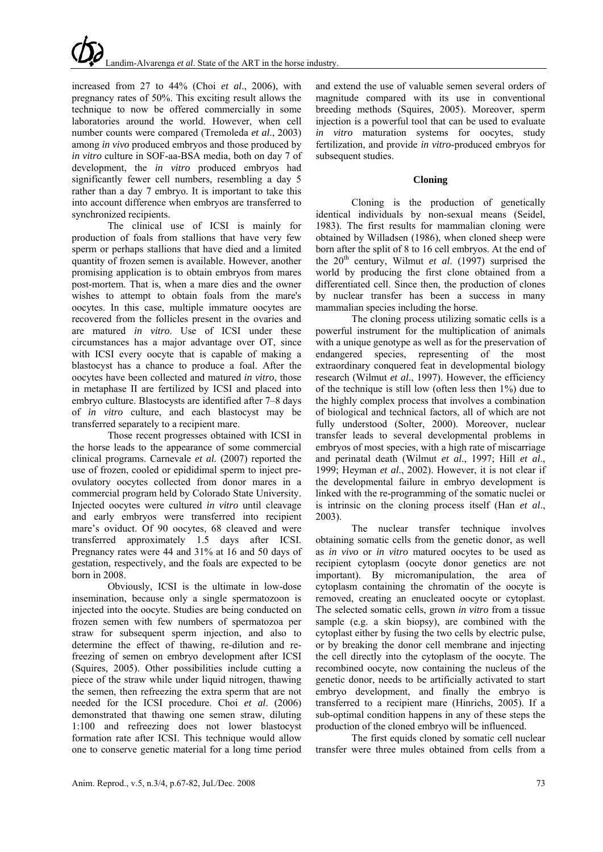increased from 27 to 44% (Choi *et al*., 2006), with pregnancy rates of 50%. This exciting result allows the technique to now be offered commercially in some laboratories around the world. However, when cell number counts were compared (Tremoleda *et al*., 2003) among *in vivo* produced embryos and those produced by *in vitro* culture in SOF-aa-BSA media, both on day 7 of development, the *in vitro* produced embryos had significantly fewer cell numbers, resembling a day 5 rather than a day 7 embryo. It is important to take this into account difference when embryos are transferred to synchronized recipients.

The clinical use of ICSI is mainly for production of foals from stallions that have very few sperm or perhaps stallions that have died and a limited quantity of frozen semen is available. However, another promising application is to obtain embryos from mares post-mortem. That is, when a mare dies and the owner wishes to attempt to obtain foals from the mare's oocytes. In this case, multiple immature oocytes are recovered from the follicles present in the ovaries and are matured *in vitro*. Use of ICSI under these circumstances has a major advantage over OT, since with ICSI every oocyte that is capable of making a blastocyst has a chance to produce a foal. After the oocytes have been collected and matured *in vitro*, those in metaphase II are fertilized by ICSI and placed into embryo culture. Blastocysts are identified after 7–8 days of *in vitro* culture, and each blastocyst may be transferred separately to a recipient mare.

Those recent progresses obtained with ICSI in the horse leads to the appearance of some commercial clinical programs. Carnevale *et al.* (2007) reported the use of frozen, cooled or epididimal sperm to inject preovulatory oocytes collected from donor mares in a commercial program held by Colorado State University. Injected oocytes were cultured *in vitro* until cleavage and early embryos were transferred into recipient mare's oviduct. Of 90 oocytes, 68 cleaved and were transferred approximately 1.5 days after ICSI. Pregnancy rates were 44 and 31% at 16 and 50 days of gestation, respectively, and the foals are expected to be born in 2008.

Obviously, ICSI is the ultimate in low-dose insemination, because only a single spermatozoon is injected into the oocyte. Studies are being conducted on frozen semen with few numbers of spermatozoa per straw for subsequent sperm injection, and also to determine the effect of thawing, re-dilution and refreezing of semen on embryo development after ICSI (Squires, 2005). Other possibilities include cutting a piece of the straw while under liquid nitrogen, thawing the semen, then refreezing the extra sperm that are not needed for the ICSI procedure. Choi *et al*. (2006) demonstrated that thawing one semen straw, diluting 1:100 and refreezing does not lower blastocyst formation rate after ICSI. This technique would allow one to conserve genetic material for a long time period

and extend the use of valuable semen several orders of magnitude compared with its use in conventional breeding methods (Squires, 2005). Moreover, sperm injection is a powerful tool that can be used to evaluate *in vitro* maturation systems for oocytes, study fertilization, and provide *in vitro*-produced embryos for subsequent studies.

### **Cloning**

Cloning is the production of genetically identical individuals by non-sexual means (Seidel, 1983). The first results for mammalian cloning were obtained by Willadsen (1986), when cloned sheep were born after the split of 8 to 16 cell embryos. At the end of the  $20<sup>th</sup>$  century, Wilmut *et al.* (1997) surprised the world by producing the first clone obtained from a differentiated cell. Since then, the production of clones by nuclear transfer has been a success in many mammalian species including the horse.

The cloning process utilizing somatic cells is a powerful instrument for the multiplication of animals with a unique genotype as well as for the preservation of endangered species, representing of the most extraordinary conquered feat in developmental biology research (Wilmut *et al*., 1997). However, the efficiency of the technique is still low (often less then 1%) due to the highly complex process that involves a combination of biological and technical factors, all of which are not fully understood (Solter, 2000). Moreover, nuclear transfer leads to several developmental problems in embryos of most species, with a high rate of miscarriage and perinatal death (Wilmut *et al*., 1997; Hill *et al*., 1999; Heyman *et al*., 2002). However, it is not clear if the developmental failure in embryo development is linked with the re-programming of the somatic nuclei or is intrinsic on the cloning process itself (Han *et al*., 2003).

The nuclear transfer technique involves obtaining somatic cells from the genetic donor, as well as *in vivo* or *in vitro* matured oocytes to be used as recipient cytoplasm (oocyte donor genetics are not important). By micromanipulation, the area of cytoplasm containing the chromatin of the oocyte is removed, creating an enucleated oocyte or cytoplast. The selected somatic cells, grown *in vitro* from a tissue sample (e.g. a skin biopsy), are combined with the cytoplast either by fusing the two cells by electric pulse, or by breaking the donor cell membrane and injecting the cell directly into the cytoplasm of the oocyte. The recombined oocyte, now containing the nucleus of the genetic donor, needs to be artificially activated to start embryo development, and finally the embryo is transferred to a recipient mare (Hinrichs, 2005). If a sub-optimal condition happens in any of these steps the production of the cloned embryo will be influenced.

The first equids cloned by somatic cell nuclear transfer were three mules obtained from cells from a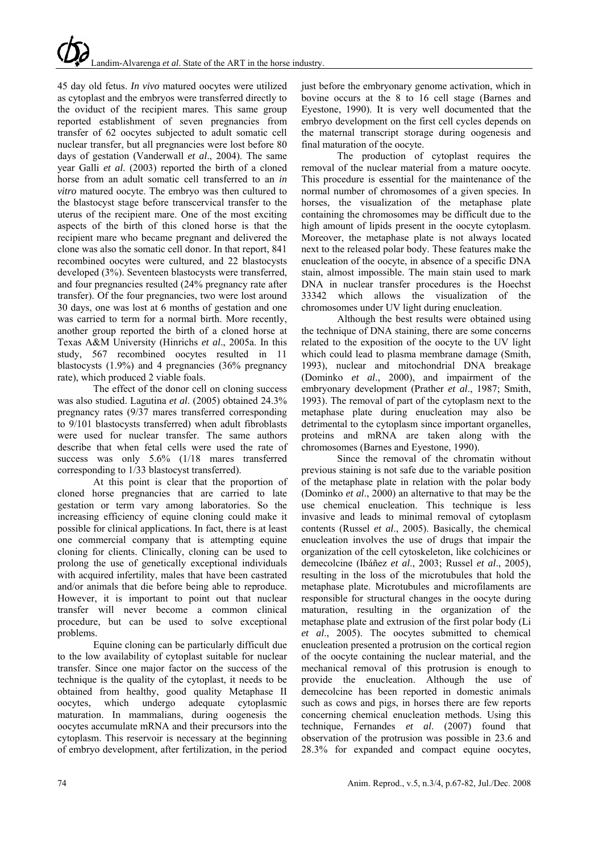45 day old fetus. *In vivo* matured oocytes were utilized as cytoplast and the embryos were transferred directly to the oviduct of the recipient mares. This same group reported establishment of seven pregnancies from transfer of 62 oocytes subjected to adult somatic cell nuclear transfer, but all pregnancies were lost before 80 days of gestation (Vanderwall *et al*., 2004). The same year Galli *et al*. (2003) reported the birth of a cloned horse from an adult somatic cell transferred to an *in vitro* matured oocyte. The embryo was then cultured to the blastocyst stage before transcervical transfer to the uterus of the recipient mare. One of the most exciting aspects of the birth of this cloned horse is that the recipient mare who became pregnant and delivered the clone was also the somatic cell donor. In that report, 841 recombined oocytes were cultured, and 22 blastocysts developed (3%). Seventeen blastocysts were transferred, and four pregnancies resulted (24% pregnancy rate after transfer). Of the four pregnancies, two were lost around 30 days, one was lost at 6 months of gestation and one was carried to term for a normal birth. More recently, another group reported the birth of a cloned horse at Texas A&M University (Hinrichs *et al*., 2005a. In this study, 567 recombined oocytes resulted in 11 blastocysts (1.9%) and 4 pregnancies (36% pregnancy rate), which produced 2 viable foals.

The effect of the donor cell on cloning success was also studied. Lagutina *et al*. (2005) obtained 24.3% pregnancy rates (9/37 mares transferred corresponding to 9/101 blastocysts transferred) when adult fibroblasts were used for nuclear transfer. The same authors describe that when fetal cells were used the rate of success was only 5.6% (1/18 mares transferred corresponding to 1/33 blastocyst transferred).

At this point is clear that the proportion of cloned horse pregnancies that are carried to late gestation or term vary among laboratories. So the increasing efficiency of equine cloning could make it possible for clinical applications. In fact, there is at least one commercial company that is attempting equine cloning for clients. Clinically, cloning can be used to prolong the use of genetically exceptional individuals with acquired infertility, males that have been castrated and/or animals that die before being able to reproduce. However, it is important to point out that nuclear transfer will never become a common clinical procedure, but can be used to solve exceptional problems.

Equine cloning can be particularly difficult due to the low availability of cytoplast suitable for nuclear transfer. Since one major factor on the success of the technique is the quality of the cytoplast, it needs to be obtained from healthy, good quality Metaphase II oocytes, which undergo adequate cytoplasmic maturation. In mammalians, during oogenesis the oocytes accumulate mRNA and their precursors into the cytoplasm. This reservoir is necessary at the beginning of embryo development, after fertilization, in the period just before the embryonary genome activation, which in bovine occurs at the 8 to 16 cell stage (Barnes and Eyestone, 1990). It is very well documented that the embryo development on the first cell cycles depends on the maternal transcript storage during oogenesis and final maturation of the oocyte.

The production of cytoplast requires the removal of the nuclear material from a mature oocyte. This procedure is essential for the maintenance of the normal number of chromosomes of a given species. In horses, the visualization of the metaphase plate containing the chromosomes may be difficult due to the high amount of lipids present in the oocyte cytoplasm. Moreover, the metaphase plate is not always located next to the released polar body. These features make the enucleation of the oocyte, in absence of a specific DNA stain, almost impossible. The main stain used to mark DNA in nuclear transfer procedures is the Hoechst 33342 which allows the visualization of the chromosomes under UV light during enucleation.

Although the best results were obtained using the technique of DNA staining, there are some concerns related to the exposition of the oocyte to the UV light which could lead to plasma membrane damage (Smith, 1993), nuclear and mitochondrial DNA breakage (Dominko *et al*., 2000), and impairment of the embryonary development (Prather *et al*., 1987; Smith, 1993). The removal of part of the cytoplasm next to the metaphase plate during enucleation may also be detrimental to the cytoplasm since important organelles, proteins and mRNA are taken along with the chromosomes (Barnes and Eyestone, 1990).

Since the removal of the chromatin without previous staining is not safe due to the variable position of the metaphase plate in relation with the polar body (Dominko *et al*., 2000) an alternative to that may be the use chemical enucleation. This technique is less invasive and leads to minimal removal of cytoplasm contents (Russel *et al*., 2005). Basically, the chemical enucleation involves the use of drugs that impair the organization of the cell cytoskeleton, like colchicines or demecolcine (Ibáñez *et al*., 2003; Russel *et al*., 2005), resulting in the loss of the microtubules that hold the metaphase plate. Microtubules and microfilaments are responsible for structural changes in the oocyte during maturation, resulting in the organization of the metaphase plate and extrusion of the first polar body (Li *et al*., 2005). The oocytes submitted to chemical enucleation presented a protrusion on the cortical region of the oocyte containing the nuclear material, and the mechanical removal of this protrusion is enough to provide the enucleation. Although the use of demecolcine has been reported in domestic animals such as cows and pigs, in horses there are few reports concerning chemical enucleation methods. Using this technique, Fernandes *et al*. (2007) found that observation of the protrusion was possible in 23.6 and 28.3% for expanded and compact equine oocytes,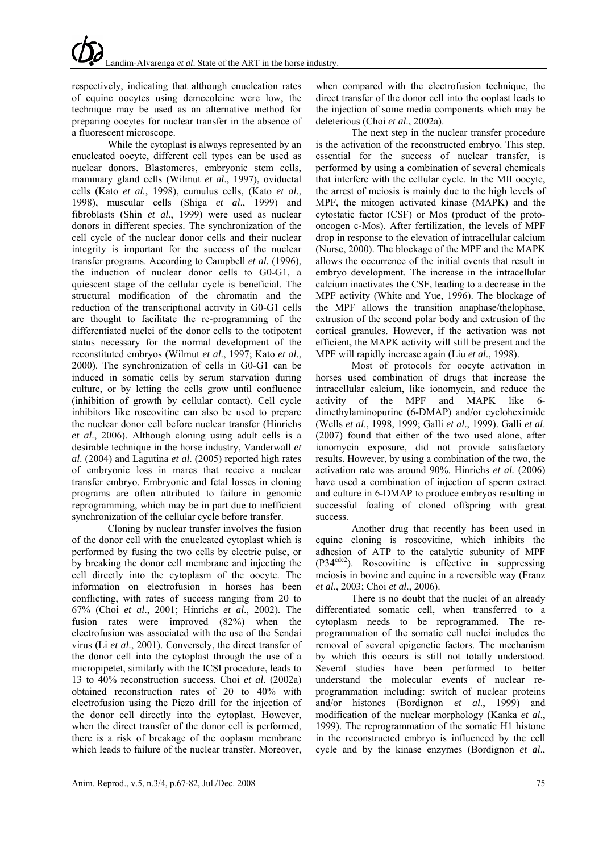respectively, indicating that although enucleation rates of equine oocytes using demecolcine were low, the technique may be used as an alternative method for preparing oocytes for nuclear transfer in the absence of a fluorescent microscope.

While the cytoplast is always represented by an enucleated oocyte, different cell types can be used as nuclear donors. Blastomeres, embryonic stem cells, mammary gland cells (Wilmut *et al*., 1997), oviductal cells (Kato *et al.*, 1998), cumulus cells, (Kato *et al*., 1998), muscular cells (Shiga *et al*., 1999) and fibroblasts (Shin *et al*., 1999) were used as nuclear donors in different species. The synchronization of the cell cycle of the nuclear donor cells and their nuclear integrity is important for the success of the nuclear transfer programs. According to Campbell *et al.* (1996), the induction of nuclear donor cells to G0-G1, a quiescent stage of the cellular cycle is beneficial. The structural modification of the chromatin and the reduction of the transcriptional activity in G0-G1 cells are thought to facilitate the re-programming of the differentiated nuclei of the donor cells to the totipotent status necessary for the normal development of the reconstituted embryos (Wilmut *et al*., 1997; Kato *et al*., 2000). The synchronization of cells in G0-G1 can be induced in somatic cells by serum starvation during culture, or by letting the cells grow until confluence (inhibition of growth by cellular contact). Cell cycle inhibitors like roscovitine can also be used to prepare the nuclear donor cell before nuclear transfer (Hinrichs *et al*., 2006). Although cloning using adult cells is a desirable technique in the horse industry, Vanderwall *et al*. (2004) and Lagutina *et al*. (2005) reported high rates of embryonic loss in mares that receive a nuclear transfer embryo. Embryonic and fetal losses in cloning programs are often attributed to failure in genomic reprogramming, which may be in part due to inefficient synchronization of the cellular cycle before transfer.

Cloning by nuclear transfer involves the fusion of the donor cell with the enucleated cytoplast which is performed by fusing the two cells by electric pulse, or by breaking the donor cell membrane and injecting the cell directly into the cytoplasm of the oocyte. The information on electrofusion in horses has been conflicting, with rates of success ranging from 20 to 67% (Choi *et al*., 2001; Hinrichs *et al*., 2002). The fusion rates were improved (82%) when the electrofusion was associated with the use of the Sendai virus (Li *et al*., 2001). Conversely, the direct transfer of the donor cell into the cytoplast through the use of a micropipetet, similarly with the ICSI procedure, leads to 13 to 40% reconstruction success. Choi *et al*. (2002a) obtained reconstruction rates of 20 to 40% with electrofusion using the Piezo drill for the injection of the donor cell directly into the cytoplast. However, when the direct transfer of the donor cell is performed, there is a risk of breakage of the ooplasm membrane which leads to failure of the nuclear transfer. Moreover,

when compared with the electrofusion technique, the direct transfer of the donor cell into the ooplast leads to the injection of some media components which may be deleterious (Choi *et al*., 2002a).

The next step in the nuclear transfer procedure is the activation of the reconstructed embryo. This step, essential for the success of nuclear transfer, is performed by using a combination of several chemicals that interfere with the cellular cycle. In the MII oocyte, the arrest of meiosis is mainly due to the high levels of MPF, the mitogen activated kinase (MAPK) and the cytostatic factor (CSF) or Mos (product of the protooncogen c-Mos). After fertilization, the levels of MPF drop in response to the elevation of intracellular calcium (Nurse, 2000). The blockage of the MPF and the MAPK allows the occurrence of the initial events that result in embryo development. The increase in the intracellular calcium inactivates the CSF, leading to a decrease in the MPF activity (White and Yue, 1996). The blockage of the MPF allows the transition anaphase/thelophase, extrusion of the second polar body and extrusion of the cortical granules. However, if the activation was not efficient, the MAPK activity will still be present and the MPF will rapidly increase again (Liu *et al*., 1998).

Most of protocols for oocyte activation in horses used combination of drugs that increase the intracellular calcium, like ionomycin, and reduce the activity of the MPF and MAPK like 6 dimethylaminopurine (6-DMAP) and/or cycloheximide (Wells *et al*., 1998, 1999; Galli *et al*., 1999). Galli *et al*. (2007) found that either of the two used alone, after ionomycin exposure, did not provide satisfactory results. However, by using a combination of the two, the activation rate was around 90%. Hinrichs *et al.* (2006) have used a combination of injection of sperm extract and culture in 6-DMAP to produce embryos resulting in successful foaling of cloned offspring with great success.

Another drug that recently has been used in equine cloning is roscovitine, which inhibits the adhesion of ATP to the catalytic subunity of MPF  $(P34<sup>cdc2</sup>)$ . Roscovitine is effective in suppressing meiosis in bovine and equine in a reversible way (Franz *et al*., 2003; Choi *et al*., 2006).

There is no doubt that the nuclei of an already differentiated somatic cell, when transferred to a cytoplasm needs to be reprogrammed. The reprogrammation of the somatic cell nuclei includes the removal of several epigenetic factors. The mechanism by which this occurs is still not totally understood. Several studies have been performed to better understand the molecular events of nuclear reprogrammation including: switch of nuclear proteins and/or histones (Bordignon *et al*., 1999) and modification of the nuclear morphology (Kanka *et al*., 1999). The reprogrammation of the somatic H1 histone in the reconstructed embryo is influenced by the cell cycle and by the kinase enzymes (Bordignon *et al*.,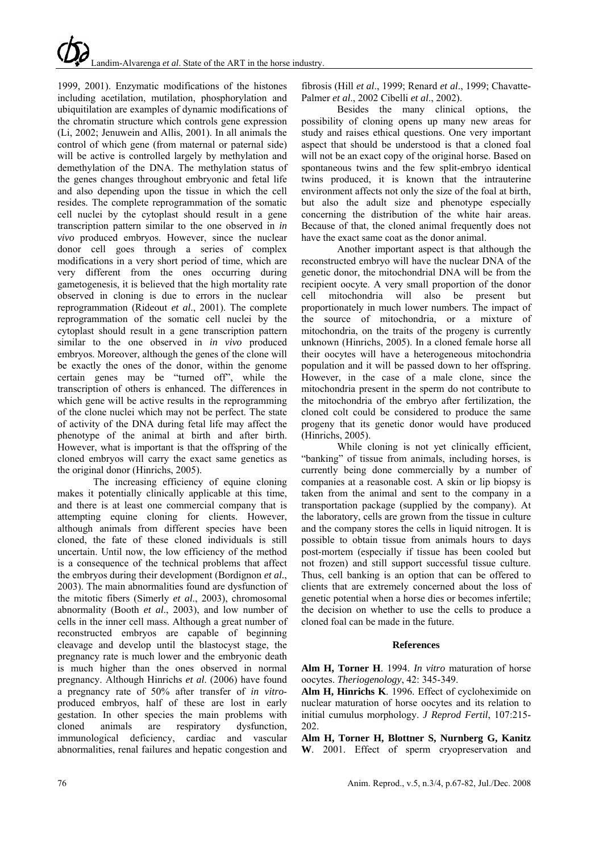1999, 2001). Enzymatic modifications of the histones including acetilation, mutilation, phosphorylation and ubiquitilation are examples of dynamic modifications of the chromatin structure which controls gene expression (Li, 2002; Jenuwein and Allis, 2001). In all animals the control of which gene (from maternal or paternal side) will be active is controlled largely by methylation and demethylation of the DNA. The methylation status of the genes changes throughout embryonic and fetal life and also depending upon the tissue in which the cell resides. The complete reprogrammation of the somatic cell nuclei by the cytoplast should result in a gene transcription pattern similar to the one observed in *in vivo* produced embryos. However, since the nuclear donor cell goes through a series of complex modifications in a very short period of time, which are very different from the ones occurring during gametogenesis, it is believed that the high mortality rate observed in cloning is due to errors in the nuclear reprogrammation (Rideout *et al*., 2001). The complete reprogrammation of the somatic cell nuclei by the cytoplast should result in a gene transcription pattern similar to the one observed in *in vivo* produced embryos. Moreover, although the genes of the clone will be exactly the ones of the donor, within the genome certain genes may be "turned off", while the transcription of others is enhanced. The differences in which gene will be active results in the reprogramming of the clone nuclei which may not be perfect. The state of activity of the DNA during fetal life may affect the phenotype of the animal at birth and after birth. However, what is important is that the offspring of the cloned embryos will carry the exact same genetics as the original donor (Hinrichs, 2005).

The increasing efficiency of equine cloning makes it potentially clinically applicable at this time, and there is at least one commercial company that is attempting equine cloning for clients. However, although animals from different species have been cloned, the fate of these cloned individuals is still uncertain. Until now, the low efficiency of the method is a consequence of the technical problems that affect the embryos during their development (Bordignon *et al.*, 2003). The main abnormalities found are dysfunction of the mitotic fibers (Simerly *et al*., 2003), chromosomal abnormality (Booth *et al*., 2003), and low number of cells in the inner cell mass. Although a great number of reconstructed embryos are capable of beginning cleavage and develop until the blastocyst stage, the pregnancy rate is much lower and the embryonic death is much higher than the ones observed in normal pregnancy. Although Hinrichs *et al*. (2006) have found a pregnancy rate of 50% after transfer of *in vitro*produced embryos, half of these are lost in early gestation. In other species the main problems with cloned animals are respiratory dysfunction, immunological deficiency, cardiac and vascular abnormalities, renal failures and hepatic congestion and

fibrosis (Hill *et al*., 1999; Renard *et al*., 1999; Chavatte-Palmer *et al*., 2002 Cibelli *et al*., 2002).

Besides the many clinical options, the possibility of cloning opens up many new areas for study and raises ethical questions. One very important aspect that should be understood is that a cloned foal will not be an exact copy of the original horse. Based on spontaneous twins and the few split-embryo identical twins produced, it is known that the intrauterine environment affects not only the size of the foal at birth, but also the adult size and phenotype especially concerning the distribution of the white hair areas. Because of that, the cloned animal frequently does not have the exact same coat as the donor animal.

Another important aspect is that although the reconstructed embryo will have the nuclear DNA of the genetic donor, the mitochondrial DNA will be from the recipient oocyte. A very small proportion of the donor cell mitochondria will also be present but proportionately in much lower numbers. The impact of the source of mitochondria, or a mixture of mitochondria, on the traits of the progeny is currently unknown (Hinrichs, 2005). In a cloned female horse all their oocytes will have a heterogeneous mitochondria population and it will be passed down to her offspring. However, in the case of a male clone, since the mitochondria present in the sperm do not contribute to the mitochondria of the embryo after fertilization, the cloned colt could be considered to produce the same progeny that its genetic donor would have produced (Hinrichs, 2005).

While cloning is not yet clinically efficient, "banking" of tissue from animals, including horses, is currently being done commercially by a number of companies at a reasonable cost. A skin or lip biopsy is taken from the animal and sent to the company in a transportation package (supplied by the company). At the laboratory, cells are grown from the tissue in culture and the company stores the cells in liquid nitrogen. It is possible to obtain tissue from animals hours to days post-mortem (especially if tissue has been cooled but not frozen) and still support successful tissue culture. Thus, cell banking is an option that can be offered to clients that are extremely concerned about the loss of genetic potential when a horse dies or becomes infertile; the decision on whether to use the cells to produce a cloned foal can be made in the future.

### **References**

**Alm H, Torner H**. 1994. *In vitro* maturation of horse oocytes. *Theriogenology*, 42: 345-349.

**Alm H, Hinrichs K**. 1996. Effect of cycloheximide on nuclear maturation of horse oocytes and its relation to initial cumulus morphology. *J Reprod Fertil*, 107:215- 202.

**Alm H, Torner H, Blottner S, Nurnberg G, Kanitz W**. 2001. Effect of sperm cryopreservation and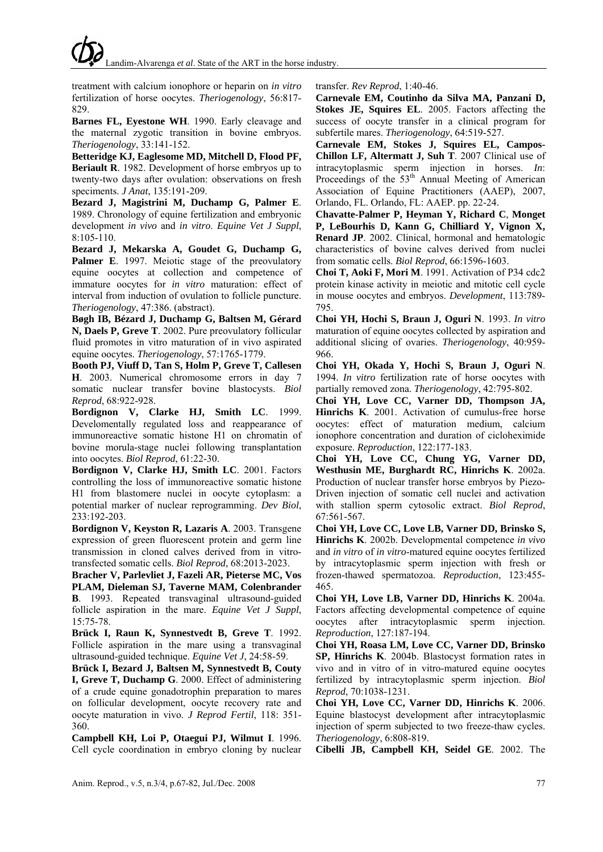treatment with calcium ionophore or heparin on *in vitro* fertilization of horse oocytes. *Theriogenology*, 56:817- 829.

**Barnes FL, Eyestone WH**. 1990. Early cleavage and the maternal zygotic transition in bovine embryos. *Theriogenology*, 33:141-152.

**Betteridge KJ, Eaglesome MD, Mitchell D, Flood PF, Beriault R**. 1982. Development of horse embryos up to twenty-two days after ovulation: observations on fresh speciments. *J Anat*, 135:191-209.

**Bezard J, Magistrini M, Duchamp G, Palmer E**. 1989. Chronology of equine fertilization and embryonic development *in vivo* and *in vitro*. *Equine Vet J Suppl*, 8:105-110.

**Bezard J, Mekarska A, Goudet G, Duchamp G,**  Palmer E. 1997. Meiotic stage of the preovulatory equine oocytes at collection and competence of immature oocytes for *in vitro* maturation: effect of interval from induction of ovulation to follicle puncture. *Theriogenology*, 47:386. (abstract).

**Bøgh IB, Bézard J, Duchamp G, Baltsen M, Gérard N, Daels P, Greve T**. 2002. Pure preovulatory follicular fluid promotes in vitro maturation of in vivo aspirated equine oocytes. *Theriogenology*, 57:1765-1779.

**Booth PJ, Viuff D, Tan S, Holm P, Greve T, Callesen H**. 2003. Numerical chromosome errors in day 7 somatic nuclear transfer bovine blastocysts. *Biol Reprod*, 68:922-928.

**Bordignon V, Clarke HJ, Smith LC**. 1999. Develomentally regulated loss and reappearance of immunoreactive somatic histone H1 on chromatin of bovine morula-stage nuclei following transplantation into oocytes. *Biol Reprod*, 61:22-30.

**Bordignon V, Clarke HJ, Smith LC**. 2001. Factors controlling the loss of immunoreactive somatic histone H1 from blastomere nuclei in oocyte cytoplasm: a potential marker of nuclear reprogramming. *Dev Biol*, 233:192-203.

**Bordignon V, Keyston R, Lazaris A**. 2003. Transgene expression of green fluorescent protein and germ line transmission in cloned calves derived from in vitrotransfected somatic cells. *Biol Reprod*, 68:2013-2023.

**Bracher V, Parlevliet J, Fazeli AR, Pieterse MC, Vos PLAM, Dieleman SJ, Taverne MAM, Colenbrander B**. 1993. Repeated transvaginal ultrasound-guided follicle aspiration in the mare. *Equine Vet J Suppl*, 15:75-78.

**Brück I, Raun K, Synnestvedt B, Greve T**. 1992. Follicle aspiration in the mare using a transvaginal ultrasound-guided technique. *Equine Vet J*, 24:58-59.

**Brück I, Bezard J, Baltsen M, Synnestvedt B, Couty I, Greve T, Duchamp G**. 2000. Effect of administering of a crude equine gonadotrophin preparation to mares on follicular development, oocyte recovery rate and oocyte maturation in vivo. *J Reprod Fertil*, 118: 351- 360.

**Campbell KH, Loi P, Otaegui PJ, Wilmut I**. 1996. Cell cycle coordination in embryo cloning by nuclear transfer. *Rev Reprod*, 1:40-46.

**Carnevale EM, Coutinho da Silva MA, Panzani D, Stokes JE, Squires EL**. 2005. Factors affecting the success of oocyte transfer in a clinical program for subfertile mares. *Theriogenology*, 64:519-527.

**Carnevale EM, Stokes J, Squires EL, Campos-Chillon LF, Altermatt J, Suh T**. 2007 Clinical use of intracytoplasmic sperm injection in horses. *In*: Proceedings of the  $53<sup>th</sup>$  Annual Meeting of American Association of Equine Practitioners (AAEP), 2007, Orlando, FL. Orlando, FL: AAEP. pp. 22-24.

**Chavatte-Palmer P, Heyman Y, Richard C**, **Monget P, LeBourhis D, Kann G, Chilliard Y, Vignon X, Renard JP**. 2002. Clinical, hormonal and hematologic characteristics of bovine calves derived from nuclei from somatic cells. *Biol Reprod*, 66:1596-1603.

**Choi T, Aoki F, Mori M**. 1991. Activation of P34 cdc2 protein kinase activity in meiotic and mitotic cell cycle in mouse oocytes and embryos. *Development*, 113:789- 795.

**Choi YH, Hochi S, Braun J, Oguri N**. 1993. *In vitro* maturation of equine oocytes collected by aspiration and additional slicing of ovaries. *Theriogenology*, 40:959- 966.

**Choi YH, Okada Y, Hochi S, Braun J, Oguri N**. 1994. *In vitro* fertilization rate of horse oocytes with partially removed zona. *Theriogenology*, 42:795-802.

**Choi YH, Love CC, Varner DD, Thompson JA, Hinrichs K**. 2001. Activation of cumulus-free horse oocytes: effect of maturation medium, calcium ionophore concentration and duration of cicloheximide exposure. *Reproduction*, 122:177-183.

**Choi YH, Love CC, Chung YG, Varner DD, Westhusin ME, Burghardt RC, Hinrichs K**. 2002a. Production of nuclear transfer horse embryos by Piezo-Driven injection of somatic cell nuclei and activation with stallion sperm cytosolic extract. *Biol Reprod*, 67:561-567.

**Choi YH, Love CC, Love LB, Varner DD, Brinsko S, Hinrichs K**. 2002b. Developmental competence *in vivo* and *in vitro* of *in vitro*-matured equine oocytes fertilized by intracytoplasmic sperm injection with fresh or frozen-thawed spermatozoa. *Reproduction*, 123:455- 465.

**Choi YH, Love LB, Varner DD, Hinrichs K**. 2004a. Factors affecting developmental competence of equine oocytes after intracytoplasmic sperm injection. *Reproduction*, 127:187-194.

**Choi YH, Roasa LM, Love CC, Varner DD, Brinsko SP, Hinrichs K**. 2004b. Blastocyst formation rates in vivo and in vitro of in vitro-matured equine oocytes fertilized by intracytoplasmic sperm injection. *Biol Reprod*, 70:1038-1231.

**Choi YH, Love CC, Varner DD, Hinrichs K**. 2006. Equine blastocyst development after intracytoplasmic injection of sperm subjected to two freeze-thaw cycles. *Theriogenology*, 6:808-819.

**Cibelli JB, Campbell KH, Seidel GE**. 2002. The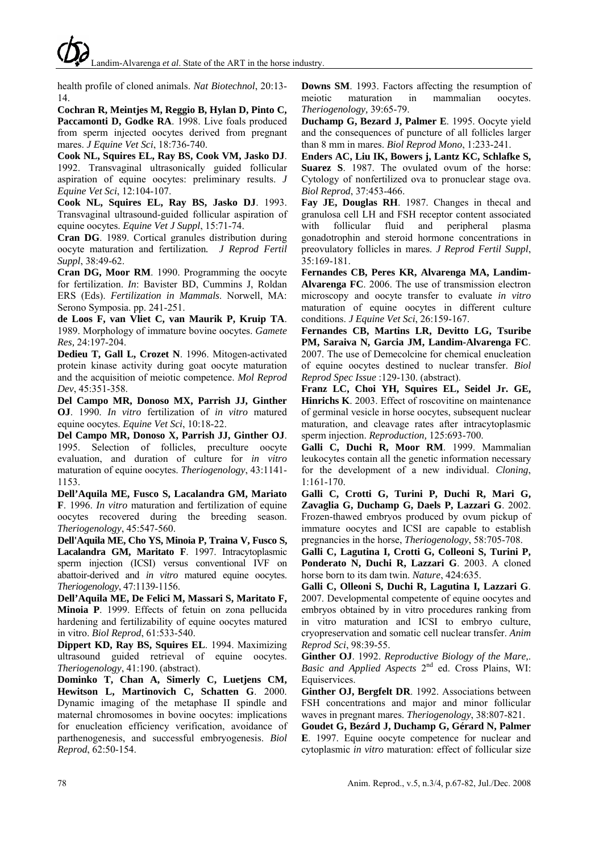Landim-Alvarenga *et al*. State of the ART in the horse industry.

health profile of cloned animals. *Nat Biotechnol*, 20:13- 14.

**Cochran R, Meintjes M, Reggio B, Hylan D, Pinto C,**  Paccamonti D, Godke RA. 1998. Live foals produced from sperm injected oocytes derived from pregnant mares. *J Equine Vet Sci*, 18:736-740.

**Cook NL, Squires EL, Ray BS, Cook VM, Jasko DJ**. 1992. Transvaginal ultrasonically guided follicular aspiration of equine oocytes: preliminary results. *J Equine Vet Sci*, 12:104-107.

**Cook NL, Squires EL, Ray BS, Jasko DJ**. 1993. Transvaginal ultrasound-guided follicular aspiration of equine oocytes. *Equine Vet J Suppl*, 15:71-74.

**Cran DG**. 1989. Cortical granules distribution during oocyte maturation and fertilization*. J Reprod Fertil Suppl*, 38:49-62.

**Cran DG, Moor RM**. 1990. Programming the oocyte for fertilization. *In*: Bavister BD, Cummins J, Roldan ERS (Eds). *Fertilization in Mammals*. Norwell, MA: Serono Symposia. pp. 241-251.

**de Loos F, van Vliet C, van Maurik P, Kruip TA**. 1989. Morphology of immature bovine oocytes. *Gamete Res,* 24:197-204.

**Dedieu T, Gall L, Crozet N**. 1996. Mitogen-activated protein kinase activity during goat oocyte maturation and the acquisition of meiotic competence. *Mol Reprod Dev*, 45:351-358.

**Del Campo MR, Donoso MX, Parrish JJ, Ginther OJ**. 1990. *In vitro* fertilization of *in vitro* matured equine oocytes. *Equine Vet Sci*, 10:18-22.

**Del Campo MR, Donoso X, Parrish JJ, Ginther OJ**. 1995. Selection of follicles, preculture oocyte evaluation, and duration of culture for *in vitro* maturation of equine oocytes. *Theriogenology*, 43:1141- 1153.

**Dell'Aquila ME, Fusco S, Lacalandra GM, Mariato F**. 1996. *In vitro* maturation and fertilization of equine oocytes recovered during the breeding season. *Theriogenology*, 45:547-560.

**Dell'Aquila ME, Cho YS, Minoia P, Traina V, Fusco S, Lacalandra GM, Maritato F**. 1997. Intracytoplasmic sperm injection (ICSI) versus conventional IVF on abattoir-derived and *in vitro* matured equine oocytes. *Theriogenology*, 47:1139-1156.

**Dell'Aquila ME, De Felici M, Massari S, Maritato F, Minoia P**. 1999. Effects of fetuin on zona pellucida hardening and fertilizability of equine oocytes matured in vitro. *Biol Reprod*, 61:533-540.

**Dippert KD, Ray BS, Squires EL**. 1994. Maximizing ultrasound guided retrieval of equine oocytes. *Theriogenology*, 41:190. (abstract).

**Dominko T, Chan A, Simerly C, Luetjens CM, Hewitson L, Martinovich C, Schatten G**. 2000. Dynamic imaging of the metaphase II spindle and maternal chromosomes in bovine oocytes: implications for enucleation efficiency verification, avoidance of parthenogenesis, and successful embryogenesis. *Biol Reprod*, 62:50-154.

**Downs SM**. 1993. Factors affecting the resumption of meiotic maturation in mammalian oocytes. *Theriogenology,* 39:65-79.

**Duchamp G, Bezard J, Palmer E**. 1995. Oocyte yield and the consequences of puncture of all follicles larger than 8 mm in mares. *Biol Reprod Mono*, 1:233-241.

**Enders AC, Liu IK, Bowers j, Lantz KC, Schlafke S, Suarez S**. 1987. The ovulated ovum of the horse: Cytology of nonfertilized ova to pronuclear stage ova. *Biol Reprod*, 37:453-466.

**Fay JE, Douglas RH**. 1987. Changes in thecal and granulosa cell LH and FSH receptor content associated with follicular fluid and peripheral plasma gonadotrophin and steroid hormone concentrations in preovulatory follicles in mares. *J Reprod Fertil Suppl*, 35:169-181.

**Fernandes CB, Peres KR, Alvarenga MA, Landim-Alvarenga FC**. 2006. The use of transmission electron microscopy and oocyte transfer to evaluate *in vitro* maturation of equine oocytes in different culture conditions. *J Equine Vet Sci*, 26:159-167.

**Fernandes CB, Martins LR, Devitto LG, Tsuribe PM, Saraiva N, Garcia JM, Landim-Alvarenga FC**. 2007. The use of Demecolcine for chemical enucleation of equine oocytes destined to nuclear transfer. *Biol Reprod Spec Issue* :129-130. (abstract).

**Franz LC, Choi YH, Squires EL, Seidel Jr. GE, Hinrichs K**. 2003. Effect of roscovitine on maintenance of germinal vesicle in horse oocytes, subsequent nuclear maturation, and cleavage rates after intracytoplasmic sperm injection. *Reproduction,* 125:693-700.

**Galli C, Duchi R, Moor RM**. 1999. Mammalian leukocytes contain all the genetic information necessary for the development of a new individual. *Cloning*, 1:161-170.

**Galli C, Crotti G, Turini P, Duchi R, Mari G, Zavaglia G, Duchamp G, Daels P, Lazzari G**. 2002. Frozen-thawed embryos produced by ovum pickup of immature oocytes and ICSI are capable to establish pregnancies in the horse, *Theriogenology*, 58:705-708.

**Galli C, Lagutina I, Crotti G, Colleoni S, Turini P, Ponderato N, Duchi R, Lazzari G**. 2003. A cloned horse born to its dam twin. *Nature*, 424:635.

**Galli C, Olleoni S, Duchi R, Lagutina I, Lazzari G**. 2007. Developmental competente of equine oocytes and embryos obtained by in vitro procedures ranking from in vitro maturation and ICSI to embryo culture, cryopreservation and somatic cell nuclear transfer. *Anim Reprod Sci*, 98:39-55.

**Ginther OJ**. 1992. *Reproductive Biology of the Mare,*. *Basic and Applied Aspects* 2nd ed. Cross Plains, WI: Equiservices.

**Ginther OJ, Bergfelt DR**. 1992. Associations between FSH concentrations and major and minor follicular waves in pregnant mares. *Theriogenology*, 38:807-821.

**Goudet G, Bezárd J, Duchamp G, Gérard N, Palmer E**. 1997. Equine oocyte competence for nuclear and cytoplasmic *in vitro* maturation: effect of follicular size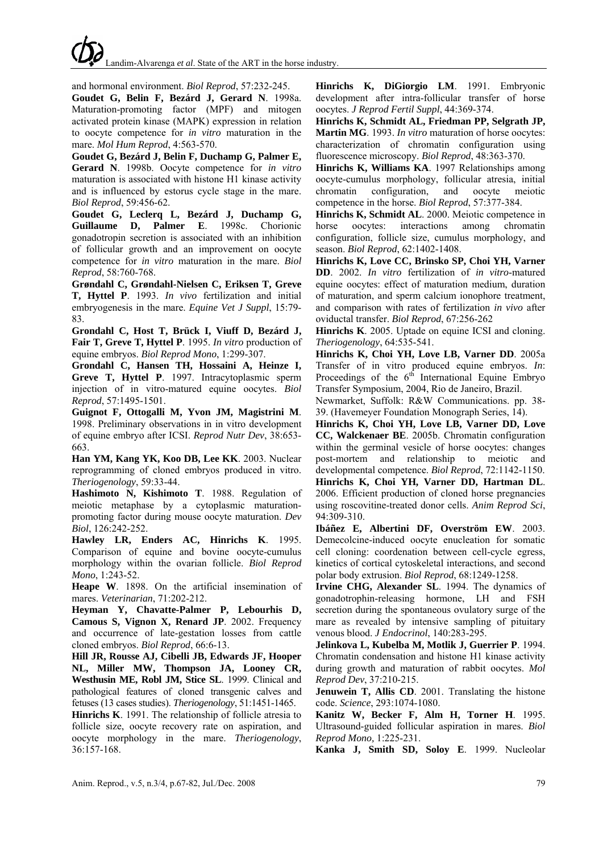and hormonal environment. *Biol Reprod*, 57:232-245.

**Goudet G, Belin F, Bezárd J, Gerard N**. 1998a. Maturation-promoting factor (MPF) and mitogen activated protein kinase (MAPK) expression in relation to oocyte competence for *in vitro* maturation in the mare. *Mol Hum Reprod*, 4:563-570.

**Goudet G, Bezárd J, Belin F, Duchamp G, Palmer E, Gerard N**. 1998b. Oocyte competence for *in vitro* maturation is associated with histone H1 kinase activity and is influenced by estorus cycle stage in the mare. *Biol Reprod*, 59:456-62.

**Goudet G, Leclerq L, Bezárd J, Duchamp G, Guillaume D, Palmer E**. 1998c. Chorionic gonadotropin secretion is associated with an inhibition of follicular growth and an improvement on oocyte competence for *in vitro* maturation in the mare. *Biol Reprod*, 58:760-768.

**Grøndahl C, Grøndahl-Nielsen C, Eriksen T, Greve T, Hyttel P**. 1993. *In vivo* fertilization and initial embryogenesis in the mare. *Equine Vet J Suppl*, 15:79- 83.

**Grondahl C, Host T, Brück I, Viuff D, Bezárd J, Fair T, Greve T, Hyttel P**. 1995. *In vitro* production of equine embryos. *Biol Reprod Mono*, 1:299-307.

**Grondahl C, Hansen TH, Hossaini A, Heinze I, Greve T, Hyttel P**. 1997. Intracytoplasmic sperm injection of in vitro-matured equine oocytes. *Biol Reprod*, 57:1495-1501.

**Guignot F, Ottogalli M, Yvon JM, Magistrini M**. 1998. Preliminary observations in in vitro development of equine embryo after ICSI. *Reprod Nutr Dev*, 38:653- 663.

**Han YM, Kang YK, Koo DB, Lee KK**. 2003. Nuclear reprogramming of cloned embryos produced in vitro. *Theriogenology*, 59:33-44.

**Hashimoto N, Kishimoto T**. 1988. Regulation of meiotic metaphase by a cytoplasmic maturationpromoting factor during mouse oocyte maturation. *Dev Biol*, 126:242-252.

**Hawley LR, Enders AC, Hinrichs K**. 1995. Comparison of equine and bovine oocyte-cumulus morphology within the ovarian follicle. *Biol Reprod Mono*, 1:243-52.

**Heape W**. 1898. On the artificial insemination of mares. *Veterinarian*, 71:202-212.

**Heyman Y, Chavatte-Palmer P, Lebourhis D, Camous S, Vignon X, Renard JP**. 2002. Frequency and occurrence of late-gestation losses from cattle cloned embryos. *Biol Reprod*, 66:6-13.

**Hill JR, Rousse AJ, Cibelli JB, Edwards JF, Hooper NL, Miller MW, Thompson JA, Looney CR, Westhusin ME, Robl JM, Stice SL**. 1999. Clinical and pathological features of cloned transgenic calves and fetuses (13 cases studies). *Theriogenology*, 51:1451-1465.

**Hinrichs K**. 1991. The relationship of follicle atresia to follicle size, oocyte recovery rate on aspiration, and oocyte morphology in the mare. *Theriogenology*, 36:157-168.

**Hinrichs K, DiGiorgio LM**. 1991. Embryonic development after intra-follicular transfer of horse oocytes. *J Reprod Fertil Suppl*, 44:369-374.

**Hinrichs K, Schmidt AL, Friedman PP, Selgrath JP, Martin MG**. 1993. *In vitro* maturation of horse oocytes: characterization of chromatin configuration using fluorescence microscopy. *Biol Reprod*, 48:363-370.

**Hinrichs K, Williams KA**. 1997 Relationships among oocyte-cumulus morphology, follicular atresia, initial chromatin configuration, and oocyte meiotic competence in the horse. *Biol Reprod*, 57:377-384.

**Hinrichs K, Schmidt AL**. 2000. Meiotic competence in horse oocytes: interactions among chromatin configuration, follicle size, cumulus morphology, and season. *Biol Reprod*, 62:1402-1408.

**Hinrichs K, Love CC, Brinsko SP, Choi YH, Varner DD**. 2002. *In vitro* fertilization of *in vitro*-matured equine oocytes: effect of maturation medium, duration of maturation, and sperm calcium ionophore treatment, and comparison with rates of fertilization *in vivo* after oviductal transfer. *Biol Reprod*, 67:256-262

**Hinrichs K**. 2005. Uptade on equine ICSI and cloning. *Theriogenology*, 64:535-541.

**Hinrichs K, Choi YH, Love LB, Varner DD**. 2005a Transfer of in vitro produced equine embryos. *In*: Proceedings of the  $6<sup>th</sup>$  International Equine Embryo Transfer Symposium, 2004, Rio de Janeiro, Brazil.

Newmarket, Suffolk: R&W Communications. pp. 38- 39. (Havemeyer Foundation Monograph Series, 14).

**Hinrichs K, Choi YH, Love LB, Varner DD, Love CC, Walckenaer BE**. 2005b. Chromatin configuration within the germinal vesicle of horse oocytes: changes post-mortem and relationship to meiotic and developmental competence. *Biol Reprod*, 72:1142-1150.

**Hinrichs K, Choi YH, Varner DD, Hartman DL**. 2006. Efficient production of cloned horse pregnancies using roscovitine-treated donor cells. *Anim Reprod Sci*, 94:309-310.

**Ibáñez E, Albertini DF, Overström EW**. 2003. Demecolcine-induced oocyte enucleation for somatic cell cloning: coordenation between cell-cycle egress, kinetics of cortical cytoskeletal interactions, and second polar body extrusion. *Biol Reprod*, 68:1249-1258.

**Irvine CHG, Alexander SL**. 1994. The dynamics of gonadotrophin-releasing hormone, LH and FSH secretion during the spontaneous ovulatory surge of the mare as revealed by intensive sampling of pituitary venous blood. *J Endocrinol*, 140:283-295.

**Jelinkova L, Kubelba M, Motlik J, Guerrier P**. 1994. Chromatin condensation and histone H1 kinase activity during growth and maturation of rabbit oocytes. *Mol Reprod Dev*, 37:210-215.

**Jenuwein T, Allis CD**. 2001. Translating the histone code. *Science*, 293:1074-1080.

**Kanitz W, Becker F, Alm H, Torner H**. 1995. Ultrasound-guided follicular aspiration in mares. *Biol Reprod Mono,* 1:225-231.

**Kanka J, Smith SD, Soloy E**. 1999. Nucleolar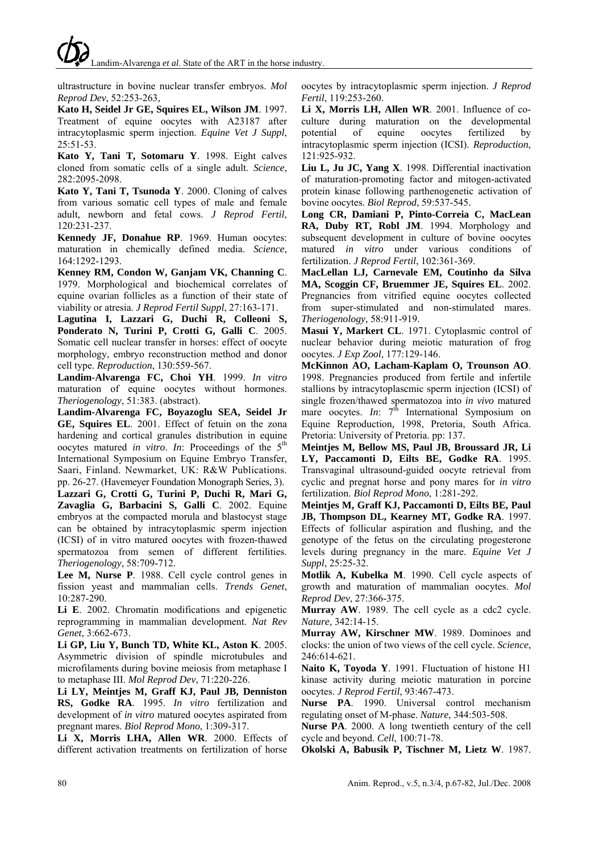Landim-Alvarenga *et al*. State of the ART in the horse industry.

ultrastructure in bovine nuclear transfer embryos. *Mol Reprod Dev*, 52:253-263,

**Kato H, Seidel Jr GE, Squires EL, Wilson JM**. 1997. Treatment of equine oocytes with A23187 after intracytoplasmic sperm injection. *Equine Vet J Suppl*, 25:51-53.

**Kato Y, Tani T, Sotomaru Y**. 1998. Eight calves cloned from somatic cells of a single adult. *Science*, 282:2095-2098.

**Kato Y, Tani T, Tsunoda Y**. 2000. Cloning of calves from various somatic cell types of male and female adult, newborn and fetal cows. *J Reprod Fertil*, 120:231-237.

**Kennedy JF, Donahue RP**. 1969. Human oocytes: maturation in chemically defined media. *Science*, 164:1292-1293.

**Kenney RM, Condon W, Ganjam VK, Channing C**. 1979. Morphological and biochemical correlates of equine ovarian follicles as a function of their state of viability or atresia. *J Reprod Fertil Suppl*, 27:163-171.

**Lagutina I, Lazzari G, Duchi R, Colleoni S, Ponderato N, Turini P, Crotti G, Galli C**. 2005. Somatic cell nuclear transfer in horses: effect of oocyte morphology, embryo reconstruction method and donor cell type. *Reproduction*, 130:559-567.

**Landim-Alvarenga FC, Choi YH**. 1999. *In vitro* maturation of equine oocytes without hormones. *Theriogenology*, 51:383. (abstract).

**Landim-Alvarenga FC, Boyazoglu SEA, Seidel Jr GE, Squires EL**. 2001. Effect of fetuin on the zona hardening and cortical granules distribution in equine oocytes matured *in vitro*. *In*: Proceedings of the 5<sup>th</sup> International Symposium on Equine Embryo Transfer, Saari, Finland. Newmarket, UK: R&W Publications. pp. 26-27. (Havemeyer Foundation Monograph Series, 3).

**Lazzari G, Crotti G, Turini P, Duchi R, Mari G, Zavaglia G, Barbacini S, Galli C**. 2002. Equine embryos at the compacted morula and blastocyst stage can be obtained by intracytoplasmic sperm injection (ICSI) of in vitro matured oocytes with frozen-thawed spermatozoa from semen of different fertilities. *Theriogenology*, 58:709-712.

**Lee M, Nurse P**. 1988. Cell cycle control genes in fission yeast and mammalian cells. *Trends Genet*, 10:287-290.

**Li E**. 2002. Chromatin modifications and epigenetic reprogramming in mammalian development. *Nat Rev Genet*, 3:662-673.

**Li GP, Liu Y, Bunch TD, White KL, Aston K**. 2005. Asymmetric division of spindle microtubules and microfilaments during bovine meiosis from metaphase I to metaphase III. *Mol Reprod Dev*, 71:220-226.

**Li LY, Meintjes M, Graff KJ, Paul JB, Denniston RS, Godke RA**. 1995. *In vitro* fertilization and development of *in vitro* matured oocytes aspirated from pregnant mares. *Biol Reprod Mono*, 1:309-317.

**Li X, Morris LHA, Allen WR**. 2000. Effects of different activation treatments on fertilization of horse oocytes by intracytoplasmic sperm injection. *J Reprod Fertil*, 119:253-260.

**Li X, Morris LH, Allen WR**. 2001. Influence of coculture during maturation on the developmental potential of equine oocytes fertilized by intracytoplasmic sperm injection (ICSI). *Reproduction*, 121:925-932.

**Liu L, Ju JC, Yang X**. 1998. Differential inactivation of maturation-promoting factor and mitogen-activated protein kinase following parthenogenetic activation of bovine oocytes. *Biol Reprod*, 59:537-545.

**Long CR, Damiani P, Pinto-Correia C, MacLean RA, Duby RT, Robl JM**. 1994. Morphology and subsequent development in culture of bovine oocytes matured *in vitro* under various conditions of fertilization. *J Reprod Fertil*, 102:361-369.

**MacLellan LJ, Carnevale EM, Coutinho da Silva MA, Scoggin CF, Bruemmer JE, Squires EL**. 2002. Pregnancies from vitrified equine oocytes collected from super-stimulated and non-stimulated mares. *Theriogenology,* 58:911-919.

**Masui Y, Markert CL**. 1971. Cytoplasmic control of nuclear behavior during meiotic maturation of frog oocytes. *J Exp Zool*, 177:129-146.

**McKinnon AO, Lacham-Kaplam O, Trounson AO**. 1998. Pregnancies produced from fertile and infertile stallions by intracytoplascmic sperm injection (ICSI) of single frozen/thawed spermatozoa into *in vivo* matured mare oocytes. *In*:  $7<sup>th</sup>$  International Symposium on Equine Reproduction*,* 1998, Pretoria, South Africa. Pretoria: University of Pretoria. pp: 137.

**Meintjes M, Bellow MS, Paul JB, Broussard JR, Li LY, Paccamonti D, Eilts BE, Godke RA**. 1995. Transvaginal ultrasound-guided oocyte retrieval from cyclic and pregnat horse and pony mares for *in vitro* fertilization. *Biol Reprod Mono*, 1:281-292.

**Meintjes M, Graff KJ, Paccamonti D, Eilts BE, Paul JB, Thompson DL, Kearney MT, Godke RA**. 1997. Effects of follicular aspiration and flushing, and the genotype of the fetus on the circulating progesterone levels during pregnancy in the mare. *Equine Vet J Suppl*, 25:25-32.

**Motlik A, Kubelka M**. 1990. Cell cycle aspects of growth and maturation of mammalian oocytes. *Mol Reprod Dev*, 27:366-375.

**Murray AW**. 1989. The cell cycle as a cdc2 cycle. *Nature*, 342:14-15.

**Murray AW, Kirschner MW**. 1989. Dominoes and clocks: the union of two views of the cell cycle. *Science*, 246:614-621.

**Naito K, Toyoda Y**. 1991. Fluctuation of histone H1 kinase activity during meiotic maturation in porcine oocytes. *J Reprod Fertil*, 93:467-473.

**Nurse PA**. 1990. Universal control mechanism regulating onset of M-phase. *Nature*, 344:503-508.

**Nurse PA**. 2000. A long twentieth century of the cell cycle and beyond. *Cell*, 100:71-78.

**Okolski A, Babusik P, Tischner M, Lietz W**. 1987.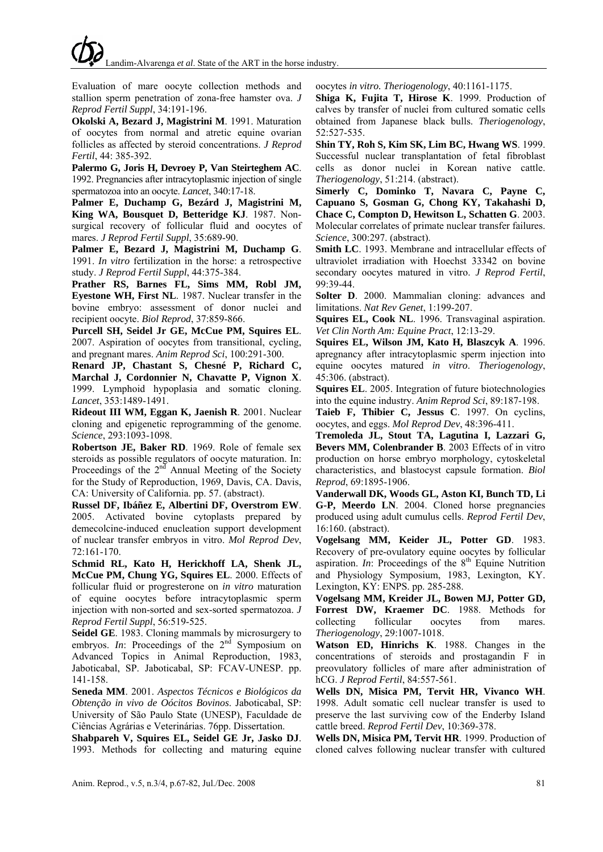Evaluation of mare oocyte collection methods and stallion sperm penetration of zona-free hamster ova. *J Reprod Fertil Suppl*, 34:191-196.

**Okolski A, Bezard J, Magistrini M**. 1991. Maturation of oocytes from normal and atretic equine ovarian follicles as affected by steroid concentrations. *J Reprod Fertil*, 44: 385-392.

**Palermo G, Joris H, Devroey P, Van Steirteghem AC**. 1992. Pregnancies after intracytoplasmic injection of single spermatozoa into an oocyte. *Lancet*, 340:17-18.

**Palmer E, Duchamp G, Bezárd J, Magistrini M, King WA, Bousquet D, Betteridge KJ**. 1987. Nonsurgical recovery of follicular fluid and oocytes of mares. *J Reprod Fertil Suppl*, 35:689-90.

**Palmer E, Bezard J, Magistrini M, Duchamp G**. 1991. *In vitro* fertilization in the horse: a retrospective study. *J Reprod Fertil Suppl*, 44:375-384.

**Prather RS, Barnes FL, Sims MM, Robl JM, Eyestone WH, First NL**. 1987. Nuclear transfer in the bovine embryo: assessment of donor nuclei and recipient oocyte. *Biol Reprod*, 37:859-866.

**Purcell SH, Seidel Jr GE, McCue PM, Squires EL**. 2007. Aspiration of oocytes from transitional, cycling, and pregnant mares. *Anim Reprod Sci*, 100:291-300.

**Renard JP, Chastant S, Chesné P, Richard C, Marchal J, Cordonnier N, Chavatte P, Vignon X**. 1999. Lymphoid hypoplasia and somatic cloning. *Lancet*, 353:1489-1491.

**Rideout III WM, Eggan K, Jaenish R**. 2001. Nuclear cloning and epigenetic reprogramming of the genome. *Science*, 293:1093-1098.

**Robertson JE, Baker RD**. 1969. Role of female sex steroids as possible regulators of oocyte maturation. In: Proceedings of the  $2<sup>nd</sup>$  Annual Meeting of the Society for the Study of Reproduction, 1969, Davis, CA. Davis, CA: University of California. pp. 57. (abstract).

**Russel DF, Ibáñez E, Albertini DF, Overstrom EW**. 2005. Activated bovine cytoplasts prepared by demecolcine-induced enucleation support development of nuclear transfer embryos in vitro. *Mol Reprod Dev*, 72:161-170.

**Schmid RL, Kato H, Herickhoff LA, Shenk JL, McCue PM, Chung YG, Squires EL**. 2000. Effects of follicular fluid or progresterone on *in vitro* maturation of equine oocytes before intracytoplasmic sperm injection with non-sorted and sex-sorted spermatozoa. *J Reprod Fertil Suppl*, 56:519-525.

**Seidel GE**. 1983. Cloning mammals by microsurgery to embryos. *In*: Proceedings of the  $2<sup>nd</sup>$  Symposium on Advanced Topics in Animal Reproduction, 1983, Jaboticabal, SP. Jaboticabal, SP: FCAV-UNESP. pp. 141-158.

**Seneda MM**. 2001. *Aspectos Técnicos e Biológicos da Obtenção in vivo de Oócitos Bovinos*. Jaboticabal, SP: University of São Paulo State (UNESP), Faculdade de Ciências Agrárias e Veterinárias. 76pp. Dissertation.

**Shabpareh V, Squires EL, Seidel GE Jr, Jasko DJ**. 1993. Methods for collecting and maturing equine oocytes *in vitro. Theriogenology*, 40:1161-1175.

**Shiga K, Fujita T, Hirose K**. 1999. Production of calves by transfer of nuclei from cultured somatic cells obtained from Japanese black bulls. *Theriogenology*, 52:527-535.

**Shin TY, Roh S, Kim SK, Lim BC, Hwang WS**. 1999. Successful nuclear transplantation of fetal fibroblast cells as donor nuclei in Korean native cattle. *Theriogenology*, 51:214. (abstract).

**Simerly C, Dominko T, Navara C, Payne C, Capuano S, Gosman G, Chong KY, Takahashi D, Chace C, Compton D, Hewitson L, Schatten G**. 2003. Molecular correlates of primate nuclear transfer failures. *Science*, 300:297. (abstract).

**Smith LC**. 1993. Membrane and intracellular effects of ultraviolet irradiation with Hoechst 33342 on bovine secondary oocytes matured in vitro. *J Reprod Fertil*, 99:39-44.

**Solter D**. 2000. Mammalian cloning: advances and limitations. *Nat Rev Genet*, 1:199-207.

**Squires EL, Cook NL**. 1996. Transvaginal aspiration. *Vet Clin North Am: Equine Pract*, 12:13-29.

**Squires EL, Wilson JM, Kato H, Blaszcyk A**. 1996. apregnancy after intracytoplasmic sperm injection into equine oocytes matured *in vitro*. *Theriogenology*, 45:306. (abstract).

**Squires EL**. 2005. Integration of future biotechnologies into the equine industry. *Anim Reprod Sci*, 89:187-198.

**Taieb F, Thibier C, Jessus C**. 1997. On cyclins, oocytes, and eggs. *Mol Reprod Dev*, 48:396-411.

**Tremoleda JL, Stout TA, Lagutina I, Lazzari G, Bevers MM, Colenbrander B**. 2003 Effects of in vitro production on horse embryo morphology, cytoskeletal characteristics, and blastocyst capsule formation. *Biol Reprod*, 69:1895-1906.

**Vanderwall DK, Woods GL, Aston KI, Bunch TD, Li G-P, Meerdo LN**. 2004. Cloned horse pregnancies produced using adult cumulus cells. *Reprod Fertil Dev*, 16:160. (abstract).

**Vogelsang MM, Keider JL, Potter GD**. 1983. Recovery of pre-ovulatory equine oocytes by follicular aspiration. *In*: Proceedings of the  $8<sup>th</sup>$  Equine Nutrition and Physiology Symposium, 1983, Lexington, KY. Lexington, KY: ENPS. pp. 285-288.

**Vogelsang MM, Kreider JL, Bowen MJ, Potter GD, Forrest DW, Kraemer DC**. 1988. Methods for collecting follicular oocytes from mares. *Theriogenology*, 29:1007-1018.

**Watson ED, Hinrichs K**. 1988. Changes in the concentrations of steroids and prostagandin F in preovulatory follicles of mare after administration of hCG. *J Reprod Fertil*, 84:557-561.

**Wells DN, Misica PM, Tervit HR, Vivanco WH**. 1998. Adult somatic cell nuclear transfer is used to preserve the last surviving cow of the Enderby Island cattle breed. *Reprod Fertil Dev*, 10:369-378.

**Wells DN, Misica PM, Tervit HR**. 1999. Production of cloned calves following nuclear transfer with cultured